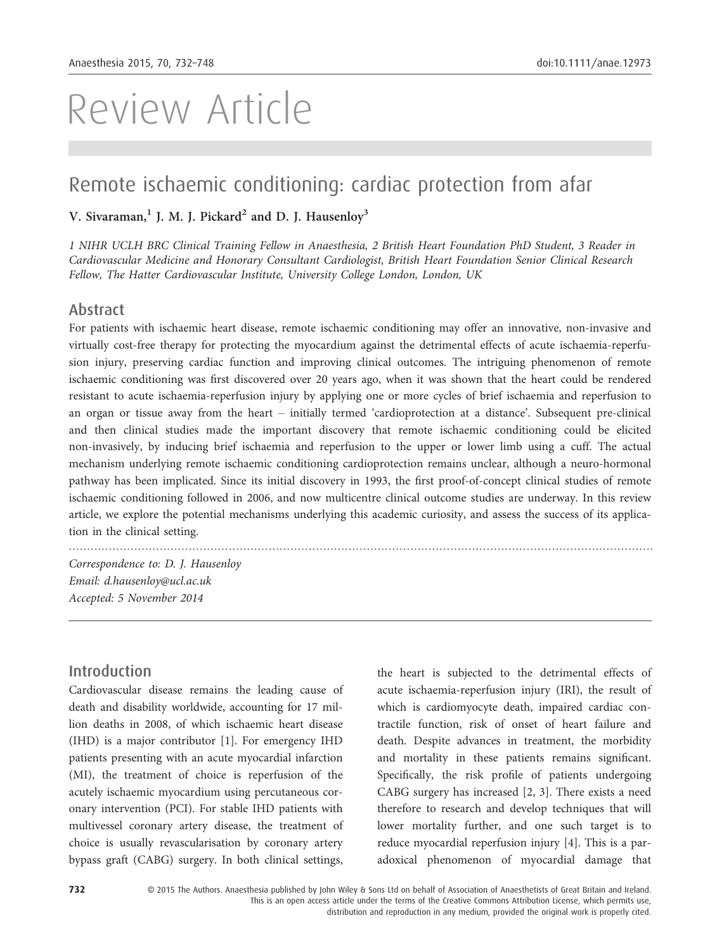# Review Article

## Remote ischaemic conditioning: cardiac protection from afar

## V. Sivaraman, $<sup>1</sup>$  J. M. J. Pickard<sup>2</sup> and D. J. Hausenloy<sup>3</sup></sup>

1 NIHR UCLH BRC Clinical Training Fellow in Anaesthesia, 2 British Heart Foundation PhD Student, 3 Reader in Cardiovascular Medicine and Honorary Consultant Cardiologist, British Heart Foundation Senior Clinical Research Fellow, The Hatter Cardiovascular Institute, University College London, London, UK

#### Abstract

For patients with ischaemic heart disease, remote ischaemic conditioning may offer an innovative, non-invasive and virtually cost-free therapy for protecting the myocardium against the detrimental effects of acute ischaemia-reperfusion injury, preserving cardiac function and improving clinical outcomes. The intriguing phenomenon of remote ischaemic conditioning was first discovered over 20 years ago, when it was shown that the heart could be rendered resistant to acute ischaemia-reperfusion injury by applying one or more cycles of brief ischaemia and reperfusion to an organ or tissue away from the heart – initially termed 'cardioprotection at a distance'. Subsequent pre-clinical and then clinical studies made the important discovery that remote ischaemic conditioning could be elicited non-invasively, by inducing brief ischaemia and reperfusion to the upper or lower limb using a cuff. The actual mechanism underlying remote ischaemic conditioning cardioprotection remains unclear, although a neuro-hormonal pathway has been implicated. Since its initial discovery in 1993, the first proof-of-concept clinical studies of remote ischaemic conditioning followed in 2006, and now multicentre clinical outcome studies are underway. In this review article, we explore the potential mechanisms underlying this academic curiosity, and assess the success of its application in the clinical setting.

.................................................................................................................................................................

Correspondence to: D. J. Hausenloy Email: d.hausenloy@ucl.ac.uk Accepted: 5 November 2014

## Introduction

Cardiovascular disease remains the leading cause of death and disability worldwide, accounting for 17 million deaths in 2008, of which ischaemic heart disease (IHD) is a major contributor [1]. For emergency IHD patients presenting with an acute myocardial infarction (MI), the treatment of choice is reperfusion of the acutely ischaemic myocardium using percutaneous coronary intervention (PCI). For stable IHD patients with multivessel coronary artery disease, the treatment of choice is usually revascularisation by coronary artery bypass graft (CABG) surgery. In both clinical settings,

the heart is subjected to the detrimental effects of acute ischaemia-reperfusion injury (IRI), the result of which is cardiomyocyte death, impaired cardiac contractile function, risk of onset of heart failure and death. Despite advances in treatment, the morbidity and mortality in these patients remains significant. Specifically, the risk profile of patients undergoing CABG surgery has increased [2, 3]. There exists a need therefore to research and develop techniques that will lower mortality further, and one such target is to reduce myocardial reperfusion injury [4]. This is a paradoxical phenomenon of myocardial damage that

distribution and reproduction in any medium, provided the original work is properly cited.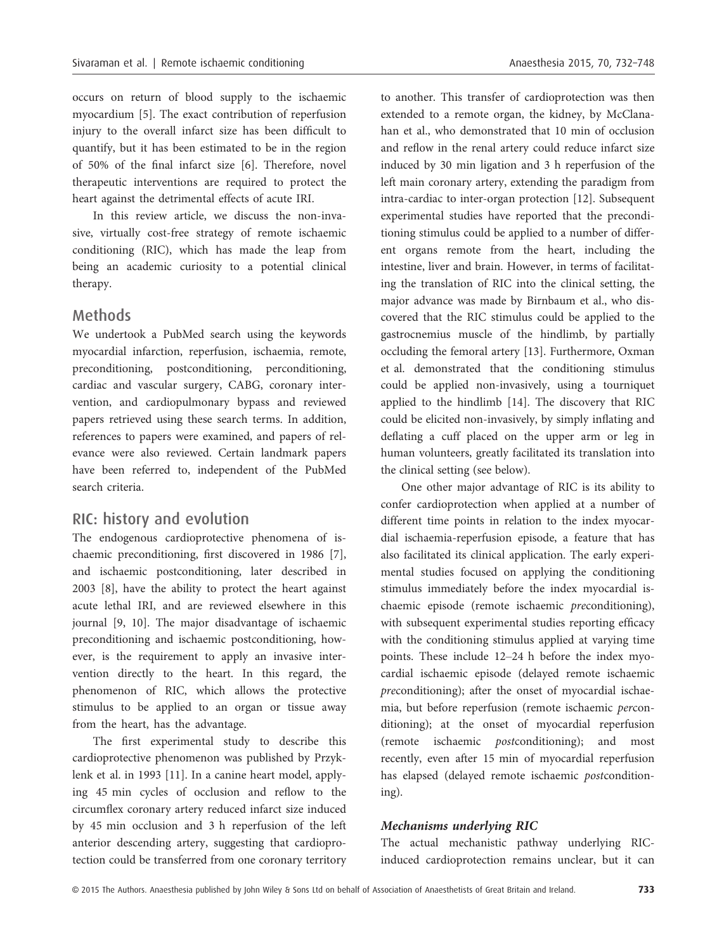occurs on return of blood supply to the ischaemic myocardium [5]. The exact contribution of reperfusion injury to the overall infarct size has been difficult to quantify, but it has been estimated to be in the region of 50% of the final infarct size [6]. Therefore, novel therapeutic interventions are required to protect the heart against the detrimental effects of acute IRI.

In this review article, we discuss the non-invasive, virtually cost-free strategy of remote ischaemic conditioning (RIC), which has made the leap from being an academic curiosity to a potential clinical therapy.

#### Methods

We undertook a PubMed search using the keywords myocardial infarction, reperfusion, ischaemia, remote, preconditioning, postconditioning, perconditioning, cardiac and vascular surgery, CABG, coronary intervention, and cardiopulmonary bypass and reviewed papers retrieved using these search terms. In addition, references to papers were examined, and papers of relevance were also reviewed. Certain landmark papers have been referred to, independent of the PubMed search criteria.

## RIC: history and evolution

The endogenous cardioprotective phenomena of ischaemic preconditioning, first discovered in 1986 [7], and ischaemic postconditioning, later described in 2003 [8], have the ability to protect the heart against acute lethal IRI, and are reviewed elsewhere in this journal [9, 10]. The major disadvantage of ischaemic preconditioning and ischaemic postconditioning, however, is the requirement to apply an invasive intervention directly to the heart. In this regard, the phenomenon of RIC, which allows the protective stimulus to be applied to an organ or tissue away from the heart, has the advantage.

The first experimental study to describe this cardioprotective phenomenon was published by Przyklenk et al. in 1993 [11]. In a canine heart model, applying 45 min cycles of occlusion and reflow to the circumflex coronary artery reduced infarct size induced by 45 min occlusion and 3 h reperfusion of the left anterior descending artery, suggesting that cardioprotection could be transferred from one coronary territory

to another. This transfer of cardioprotection was then extended to a remote organ, the kidney, by McClanahan et al., who demonstrated that 10 min of occlusion and reflow in the renal artery could reduce infarct size induced by 30 min ligation and 3 h reperfusion of the left main coronary artery, extending the paradigm from intra-cardiac to inter-organ protection [12]. Subsequent experimental studies have reported that the preconditioning stimulus could be applied to a number of different organs remote from the heart, including the intestine, liver and brain. However, in terms of facilitating the translation of RIC into the clinical setting, the major advance was made by Birnbaum et al., who discovered that the RIC stimulus could be applied to the gastrocnemius muscle of the hindlimb, by partially occluding the femoral artery [13]. Furthermore, Oxman et al. demonstrated that the conditioning stimulus could be applied non-invasively, using a tourniquet applied to the hindlimb [14]. The discovery that RIC could be elicited non-invasively, by simply inflating and deflating a cuff placed on the upper arm or leg in human volunteers, greatly facilitated its translation into the clinical setting (see below).

One other major advantage of RIC is its ability to confer cardioprotection when applied at a number of different time points in relation to the index myocardial ischaemia-reperfusion episode, a feature that has also facilitated its clinical application. The early experimental studies focused on applying the conditioning stimulus immediately before the index myocardial ischaemic episode (remote ischaemic preconditioning), with subsequent experimental studies reporting efficacy with the conditioning stimulus applied at varying time points. These include 12–24 h before the index myocardial ischaemic episode (delayed remote ischaemic preconditioning); after the onset of myocardial ischaemia, but before reperfusion (remote ischaemic perconditioning); at the onset of myocardial reperfusion (remote ischaemic postconditioning); and most recently, even after 15 min of myocardial reperfusion has elapsed (delayed remote ischaemic postconditioning).

#### Mechanisms underlying RIC

The actual mechanistic pathway underlying RICinduced cardioprotection remains unclear, but it can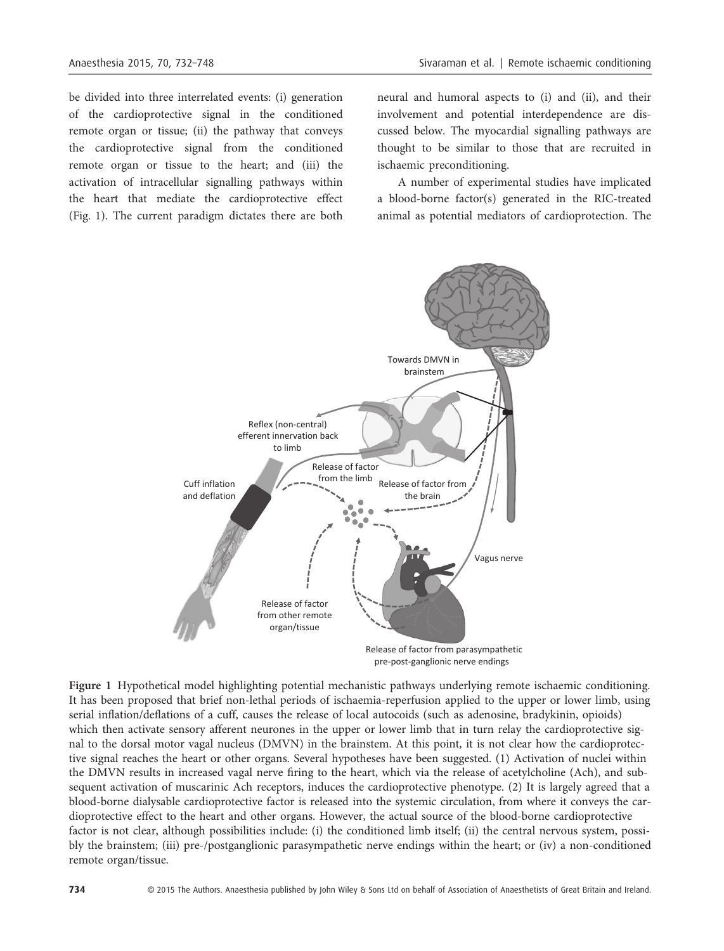be divided into three interrelated events: (i) generation of the cardioprotective signal in the conditioned remote organ or tissue; (ii) the pathway that conveys the cardioprotective signal from the conditioned remote organ or tissue to the heart; and (iii) the activation of intracellular signalling pathways within the heart that mediate the cardioprotective effect (Fig. 1). The current paradigm dictates there are both neural and humoral aspects to (i) and (ii), and their involvement and potential interdependence are discussed below. The myocardial signalling pathways are thought to be similar to those that are recruited in ischaemic preconditioning.

A number of experimental studies have implicated a blood-borne factor(s) generated in the RIC-treated animal as potential mediators of cardioprotection. The



Figure 1 Hypothetical model highlighting potential mechanistic pathways underlying remote ischaemic conditioning. It has been proposed that brief non-lethal periods of ischaemia-reperfusion applied to the upper or lower limb, using serial inflation/deflations of a cuff, causes the release of local autocoids (such as adenosine, bradykinin, opioids) which then activate sensory afferent neurones in the upper or lower limb that in turn relay the cardioprotective signal to the dorsal motor vagal nucleus (DMVN) in the brainstem. At this point, it is not clear how the cardioprotective signal reaches the heart or other organs. Several hypotheses have been suggested. (1) Activation of nuclei within the DMVN results in increased vagal nerve firing to the heart, which via the release of acetylcholine (Ach), and subsequent activation of muscarinic Ach receptors, induces the cardioprotective phenotype. (2) It is largely agreed that a blood-borne dialysable cardioprotective factor is released into the systemic circulation, from where it conveys the cardioprotective effect to the heart and other organs. However, the actual source of the blood-borne cardioprotective factor is not clear, although possibilities include: (i) the conditioned limb itself; (ii) the central nervous system, possibly the brainstem; (iii) pre-/postganglionic parasympathetic nerve endings within the heart; or (iv) a non-conditioned remote organ/tissue.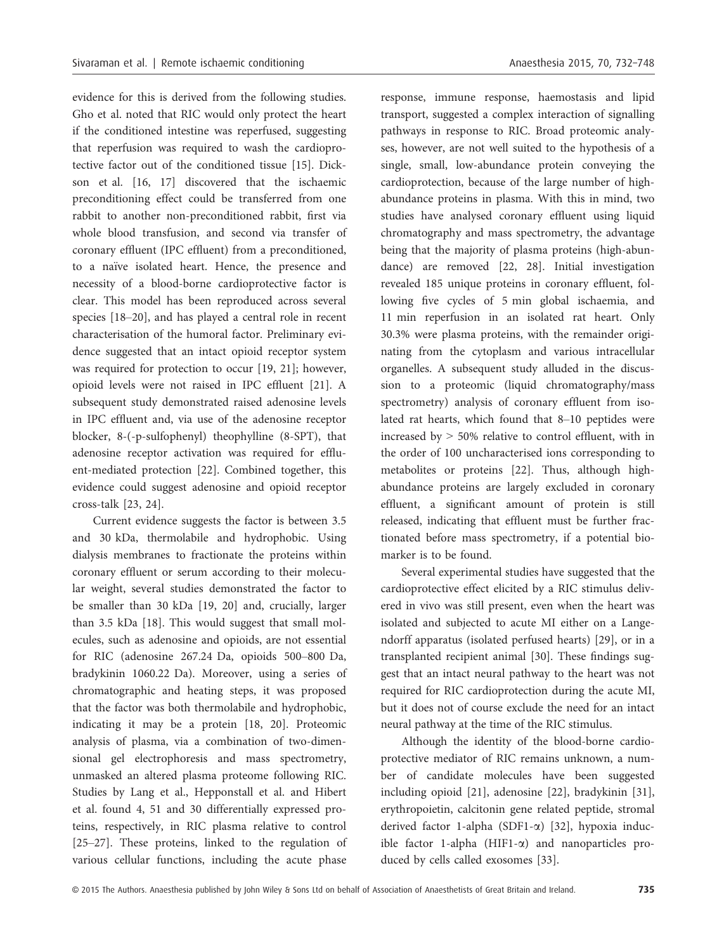evidence for this is derived from the following studies. Gho et al. noted that RIC would only protect the heart if the conditioned intestine was reperfused, suggesting that reperfusion was required to wash the cardioprotective factor out of the conditioned tissue [15]. Dickson et al. [16, 17] discovered that the ischaemic preconditioning effect could be transferred from one rabbit to another non-preconditioned rabbit, first via whole blood transfusion, and second via transfer of coronary effluent (IPC effluent) from a preconditioned, to a naïve isolated heart. Hence, the presence and necessity of a blood-borne cardioprotective factor is clear. This model has been reproduced across several species [18–20], and has played a central role in recent characterisation of the humoral factor. Preliminary evidence suggested that an intact opioid receptor system was required for protection to occur [19, 21]; however, opioid levels were not raised in IPC effluent [21]. A subsequent study demonstrated raised adenosine levels in IPC effluent and, via use of the adenosine receptor blocker, 8-(-p-sulfophenyl) theophylline (8-SPT), that adenosine receptor activation was required for effluent-mediated protection [22]. Combined together, this evidence could suggest adenosine and opioid receptor cross-talk [23, 24].

Current evidence suggests the factor is between 3.5 and 30 kDa, thermolabile and hydrophobic. Using dialysis membranes to fractionate the proteins within coronary effluent or serum according to their molecular weight, several studies demonstrated the factor to be smaller than 30 kDa [19, 20] and, crucially, larger than 3.5 kDa [18]. This would suggest that small molecules, such as adenosine and opioids, are not essential for RIC (adenosine 267.24 Da, opioids 500–800 Da, bradykinin 1060.22 Da). Moreover, using a series of chromatographic and heating steps, it was proposed that the factor was both thermolabile and hydrophobic, indicating it may be a protein [18, 20]. Proteomic analysis of plasma, via a combination of two-dimensional gel electrophoresis and mass spectrometry, unmasked an altered plasma proteome following RIC. Studies by Lang et al., Hepponstall et al. and Hibert et al. found 4, 51 and 30 differentially expressed proteins, respectively, in RIC plasma relative to control [25–27]. These proteins, linked to the regulation of various cellular functions, including the acute phase

response, immune response, haemostasis and lipid transport, suggested a complex interaction of signalling pathways in response to RIC. Broad proteomic analyses, however, are not well suited to the hypothesis of a single, small, low-abundance protein conveying the cardioprotection, because of the large number of highabundance proteins in plasma. With this in mind, two studies have analysed coronary effluent using liquid chromatography and mass spectrometry, the advantage being that the majority of plasma proteins (high-abundance) are removed [22, 28]. Initial investigation revealed 185 unique proteins in coronary effluent, following five cycles of 5 min global ischaemia, and 11 min reperfusion in an isolated rat heart. Only 30.3% were plasma proteins, with the remainder originating from the cytoplasm and various intracellular organelles. A subsequent study alluded in the discussion to a proteomic (liquid chromatography/mass spectrometry) analysis of coronary effluent from isolated rat hearts, which found that 8–10 peptides were increased by > 50% relative to control effluent, with in the order of 100 uncharacterised ions corresponding to metabolites or proteins [22]. Thus, although highabundance proteins are largely excluded in coronary effluent, a significant amount of protein is still released, indicating that effluent must be further fractionated before mass spectrometry, if a potential biomarker is to be found.

Several experimental studies have suggested that the cardioprotective effect elicited by a RIC stimulus delivered in vivo was still present, even when the heart was isolated and subjected to acute MI either on a Langendorff apparatus (isolated perfused hearts) [29], or in a transplanted recipient animal [30]. These findings suggest that an intact neural pathway to the heart was not required for RIC cardioprotection during the acute MI, but it does not of course exclude the need for an intact neural pathway at the time of the RIC stimulus.

Although the identity of the blood-borne cardioprotective mediator of RIC remains unknown, a number of candidate molecules have been suggested including opioid [21], adenosine [22], bradykinin [31], erythropoietin, calcitonin gene related peptide, stromal derived factor 1-alpha (SDF1-a) [32], hypoxia inducible factor 1-alpha (HIF1- $\alpha$ ) and nanoparticles produced by cells called exosomes [33].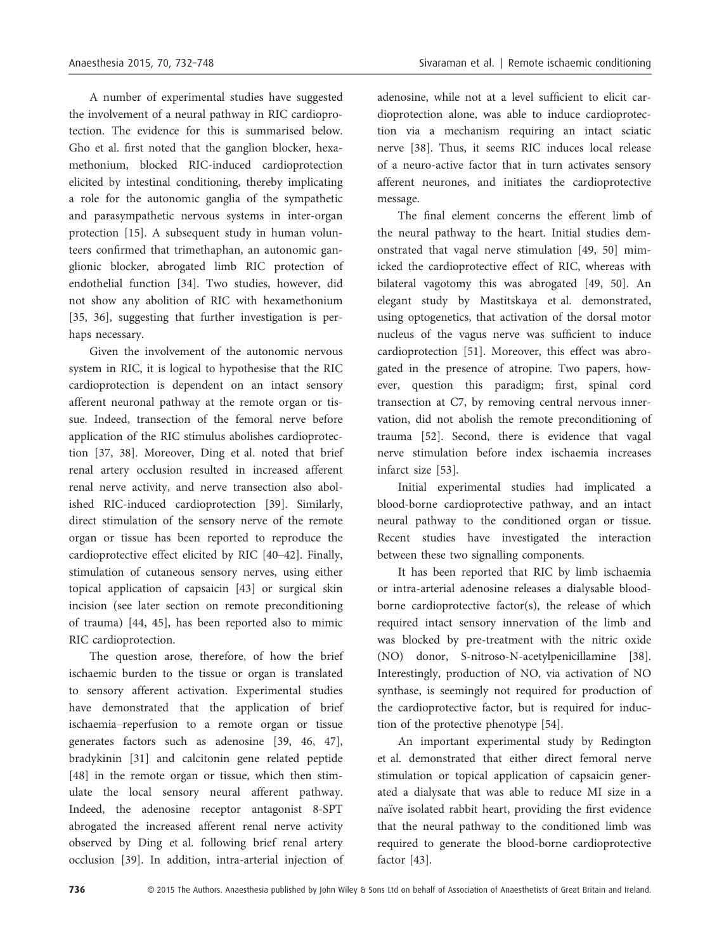A number of experimental studies have suggested the involvement of a neural pathway in RIC cardioprotection. The evidence for this is summarised below. Gho et al. first noted that the ganglion blocker, hexamethonium, blocked RIC-induced cardioprotection elicited by intestinal conditioning, thereby implicating a role for the autonomic ganglia of the sympathetic and parasympathetic nervous systems in inter-organ protection [15]. A subsequent study in human volunteers confirmed that trimethaphan, an autonomic ganglionic blocker, abrogated limb RIC protection of endothelial function [34]. Two studies, however, did not show any abolition of RIC with hexamethonium [35, 36], suggesting that further investigation is perhaps necessary.

Given the involvement of the autonomic nervous system in RIC, it is logical to hypothesise that the RIC cardioprotection is dependent on an intact sensory afferent neuronal pathway at the remote organ or tissue. Indeed, transection of the femoral nerve before application of the RIC stimulus abolishes cardioprotection [37, 38]. Moreover, Ding et al. noted that brief renal artery occlusion resulted in increased afferent renal nerve activity, and nerve transection also abolished RIC-induced cardioprotection [39]. Similarly, direct stimulation of the sensory nerve of the remote organ or tissue has been reported to reproduce the cardioprotective effect elicited by RIC [40–42]. Finally, stimulation of cutaneous sensory nerves, using either topical application of capsaicin [43] or surgical skin incision (see later section on remote preconditioning of trauma) [44, 45], has been reported also to mimic RIC cardioprotection.

The question arose, therefore, of how the brief ischaemic burden to the tissue or organ is translated to sensory afferent activation. Experimental studies have demonstrated that the application of brief ischaemia–reperfusion to a remote organ or tissue generates factors such as adenosine [39, 46, 47], bradykinin [31] and calcitonin gene related peptide [48] in the remote organ or tissue, which then stimulate the local sensory neural afferent pathway. Indeed, the adenosine receptor antagonist 8-SPT abrogated the increased afferent renal nerve activity observed by Ding et al. following brief renal artery occlusion [39]. In addition, intra-arterial injection of adenosine, while not at a level sufficient to elicit cardioprotection alone, was able to induce cardioprotection via a mechanism requiring an intact sciatic nerve [38]. Thus, it seems RIC induces local release of a neuro-active factor that in turn activates sensory afferent neurones, and initiates the cardioprotective message.

The final element concerns the efferent limb of the neural pathway to the heart. Initial studies demonstrated that vagal nerve stimulation [49, 50] mimicked the cardioprotective effect of RIC, whereas with bilateral vagotomy this was abrogated [49, 50]. An elegant study by Mastitskaya et al. demonstrated, using optogenetics, that activation of the dorsal motor nucleus of the vagus nerve was sufficient to induce cardioprotection [51]. Moreover, this effect was abrogated in the presence of atropine. Two papers, however, question this paradigm; first, spinal cord transection at C7, by removing central nervous innervation, did not abolish the remote preconditioning of trauma [52]. Second, there is evidence that vagal nerve stimulation before index ischaemia increases infarct size [53].

Initial experimental studies had implicated a blood-borne cardioprotective pathway, and an intact neural pathway to the conditioned organ or tissue. Recent studies have investigated the interaction between these two signalling components.

It has been reported that RIC by limb ischaemia or intra-arterial adenosine releases a dialysable bloodborne cardioprotective factor(s), the release of which required intact sensory innervation of the limb and was blocked by pre-treatment with the nitric oxide (NO) donor, S-nitroso-N-acetylpenicillamine [38]. Interestingly, production of NO, via activation of NO synthase, is seemingly not required for production of the cardioprotective factor, but is required for induction of the protective phenotype [54].

An important experimental study by Redington et al. demonstrated that either direct femoral nerve stimulation or topical application of capsaicin generated a dialysate that was able to reduce MI size in a naïve isolated rabbit heart, providing the first evidence that the neural pathway to the conditioned limb was required to generate the blood-borne cardioprotective factor [43].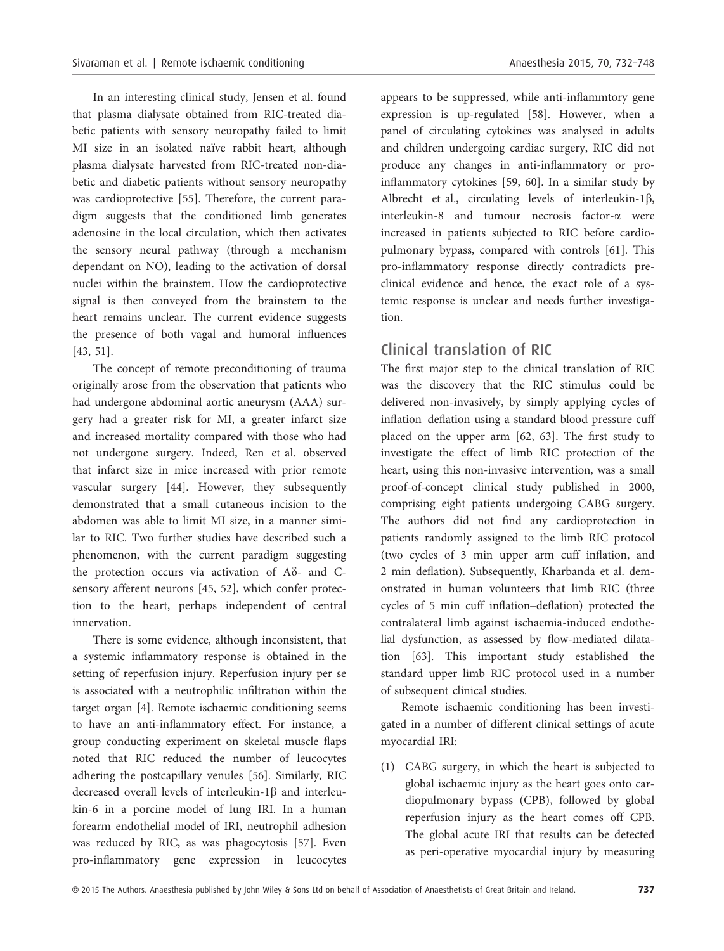In an interesting clinical study, Jensen et al. found that plasma dialysate obtained from RIC-treated diabetic patients with sensory neuropathy failed to limit MI size in an isolated naïve rabbit heart, although plasma dialysate harvested from RIC-treated non-diabetic and diabetic patients without sensory neuropathy was cardioprotective [55]. Therefore, the current paradigm suggests that the conditioned limb generates adenosine in the local circulation, which then activates the sensory neural pathway (through a mechanism dependant on NO), leading to the activation of dorsal nuclei within the brainstem. How the cardioprotective signal is then conveyed from the brainstem to the heart remains unclear. The current evidence suggests the presence of both vagal and humoral influences [43, 51].

The concept of remote preconditioning of trauma originally arose from the observation that patients who had undergone abdominal aortic aneurysm (AAA) surgery had a greater risk for MI, a greater infarct size and increased mortality compared with those who had not undergone surgery. Indeed, Ren et al. observed that infarct size in mice increased with prior remote vascular surgery [44]. However, they subsequently demonstrated that a small cutaneous incision to the abdomen was able to limit MI size, in a manner similar to RIC. Two further studies have described such a phenomenon, with the current paradigm suggesting the protection occurs via activation of  $A\delta$ - and Csensory afferent neurons [45, 52], which confer protection to the heart, perhaps independent of central innervation.

There is some evidence, although inconsistent, that a systemic inflammatory response is obtained in the setting of reperfusion injury. Reperfusion injury per se is associated with a neutrophilic infiltration within the target organ [4]. Remote ischaemic conditioning seems to have an anti-inflammatory effect. For instance, a group conducting experiment on skeletal muscle flaps noted that RIC reduced the number of leucocytes adhering the postcapillary venules [56]. Similarly, RIC decreased overall levels of interleukin-1 $\beta$  and interleukin-6 in a porcine model of lung IRI. In a human forearm endothelial model of IRI, neutrophil adhesion was reduced by RIC, as was phagocytosis [57]. Even pro-inflammatory gene expression in leucocytes

appears to be suppressed, while anti-inflammtory gene expression is up-regulated [58]. However, when a panel of circulating cytokines was analysed in adults and children undergoing cardiac surgery, RIC did not produce any changes in anti-inflammatory or proinflammatory cytokines [59, 60]. In a similar study by Albrecht et al., circulating levels of interleukin-1 $\beta$ , interleukin-8 and tumour necrosis factor-a were increased in patients subjected to RIC before cardiopulmonary bypass, compared with controls [61]. This pro-inflammatory response directly contradicts preclinical evidence and hence, the exact role of a systemic response is unclear and needs further investigation.

## Clinical translation of RIC

The first major step to the clinical translation of RIC was the discovery that the RIC stimulus could be delivered non-invasively, by simply applying cycles of inflation–deflation using a standard blood pressure cuff placed on the upper arm [62, 63]. The first study to investigate the effect of limb RIC protection of the heart, using this non-invasive intervention, was a small proof-of-concept clinical study published in 2000, comprising eight patients undergoing CABG surgery. The authors did not find any cardioprotection in patients randomly assigned to the limb RIC protocol (two cycles of 3 min upper arm cuff inflation, and 2 min deflation). Subsequently, Kharbanda et al. demonstrated in human volunteers that limb RIC (three cycles of 5 min cuff inflation–deflation) protected the contralateral limb against ischaemia-induced endothelial dysfunction, as assessed by flow-mediated dilatation [63]. This important study established the standard upper limb RIC protocol used in a number of subsequent clinical studies.

Remote ischaemic conditioning has been investigated in a number of different clinical settings of acute myocardial IRI:

(1) CABG surgery, in which the heart is subjected to global ischaemic injury as the heart goes onto cardiopulmonary bypass (CPB), followed by global reperfusion injury as the heart comes off CPB. The global acute IRI that results can be detected as peri-operative myocardial injury by measuring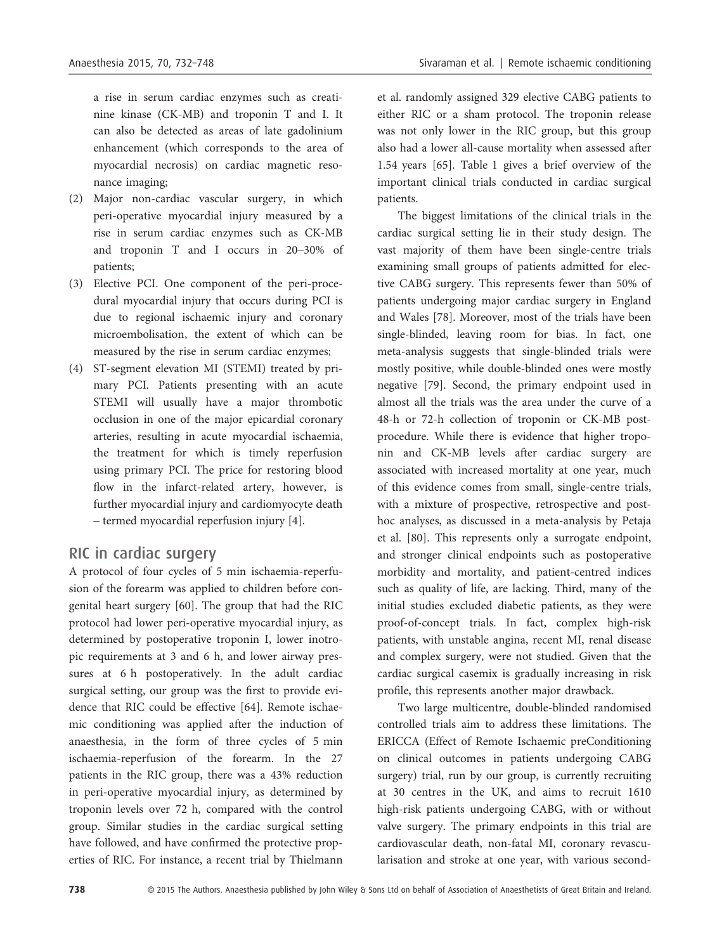a rise in serum cardiac enzymes such as creatinine kinase (CK-MB) and troponin T and I. It can also be detected as areas of late gadolinium enhancement (which corresponds to the area of myocardial necrosis) on cardiac magnetic resonance imaging;

- (2) Major non-cardiac vascular surgery, in which peri-operative myocardial injury measured by a rise in serum cardiac enzymes such as CK-MB and troponin T and I occurs in 20–30% of patients;
- (3) Elective PCI. One component of the peri-procedural myocardial injury that occurs during PCI is due to regional ischaemic injury and coronary microembolisation, the extent of which can be measured by the rise in serum cardiac enzymes;
- (4) ST-segment elevation MI (STEMI) treated by primary PCI. Patients presenting with an acute STEMI will usually have a major thrombotic occlusion in one of the major epicardial coronary arteries, resulting in acute myocardial ischaemia, the treatment for which is timely reperfusion using primary PCI. The price for restoring blood flow in the infarct-related artery, however, is further myocardial injury and cardiomyocyte death – termed myocardial reperfusion injury [4].

#### RIC in cardiac surgery

A protocol of four cycles of 5 min ischaemia-reperfusion of the forearm was applied to children before congenital heart surgery [60]. The group that had the RIC protocol had lower peri-operative myocardial injury, as determined by postoperative troponin I, lower inotropic requirements at 3 and 6 h, and lower airway pressures at 6 h postoperatively. In the adult cardiac surgical setting, our group was the first to provide evidence that RIC could be effective [64]. Remote ischaemic conditioning was applied after the induction of anaesthesia, in the form of three cycles of 5 min ischaemia-reperfusion of the forearm. In the 27 patients in the RIC group, there was a 43% reduction in peri-operative myocardial injury, as determined by troponin levels over 72 h, compared with the control group. Similar studies in the cardiac surgical setting have followed, and have confirmed the protective properties of RIC. For instance, a recent trial by Thielmann

et al. randomly assigned 329 elective CABG patients to either RIC or a sham protocol. The troponin release was not only lower in the RIC group, but this group also had a lower all-cause mortality when assessed after 1.54 years [65]. Table 1 gives a brief overview of the important clinical trials conducted in cardiac surgical patients.

The biggest limitations of the clinical trials in the cardiac surgical setting lie in their study design. The vast majority of them have been single-centre trials examining small groups of patients admitted for elective CABG surgery. This represents fewer than 50% of patients undergoing major cardiac surgery in England and Wales [78]. Moreover, most of the trials have been single-blinded, leaving room for bias. In fact, one meta-analysis suggests that single-blinded trials were mostly positive, while double-blinded ones were mostly negative [79]. Second, the primary endpoint used in almost all the trials was the area under the curve of a 48-h or 72-h collection of troponin or CK-MB postprocedure. While there is evidence that higher troponin and CK-MB levels after cardiac surgery are associated with increased mortality at one year, much of this evidence comes from small, single-centre trials, with a mixture of prospective, retrospective and posthoc analyses, as discussed in a meta-analysis by Petaja et al. [80]. This represents only a surrogate endpoint, and stronger clinical endpoints such as postoperative morbidity and mortality, and patient-centred indices such as quality of life, are lacking. Third, many of the initial studies excluded diabetic patients, as they were proof-of-concept trials. In fact, complex high-risk patients, with unstable angina, recent MI, renal disease and complex surgery, were not studied. Given that the cardiac surgical casemix is gradually increasing in risk profile, this represents another major drawback.

Two large multicentre, double-blinded randomised controlled trials aim to address these limitations. The ERICCA (Effect of Remote Ischaemic preConditioning on clinical outcomes in patients undergoing CABG surgery) trial, run by our group, is currently recruiting at 30 centres in the UK, and aims to recruit 1610 high-risk patients undergoing CABG, with or without valve surgery. The primary endpoints in this trial are cardiovascular death, non-fatal MI, coronary revascularisation and stroke at one year, with various second-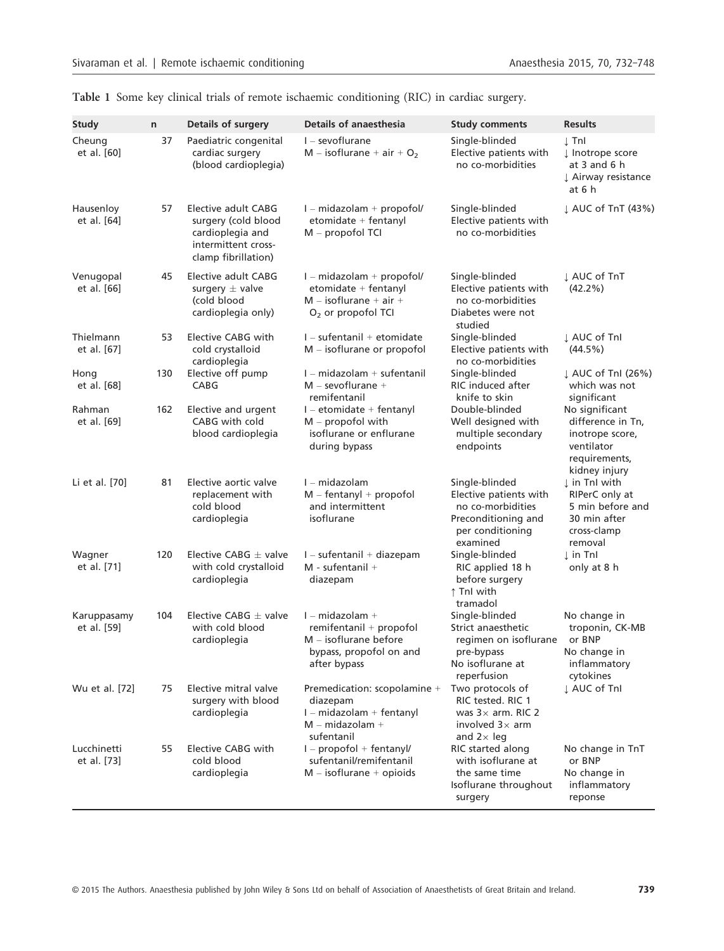| <b>Study</b>               | $\mathsf{n}$ | Details of surgery                                                                                           | Details of anaesthesia                                                                                             | <b>Study comments</b>                                                                                                | <b>Results</b>                                                                                         |
|----------------------------|--------------|--------------------------------------------------------------------------------------------------------------|--------------------------------------------------------------------------------------------------------------------|----------------------------------------------------------------------------------------------------------------------|--------------------------------------------------------------------------------------------------------|
| Cheung<br>et al. [60]      | 37           | Paediatric congenital<br>cardiac surgery<br>(blood cardioplegia)                                             | $I -$ sevoflurane<br>$M - isoflurane + air + O2$                                                                   | Single-blinded<br>Elective patients with<br>no co-morbidities                                                        | $\perp$ Tnl<br>↓ Inotrope score<br>at 3 and 6 h<br>L Airway resistance<br>at 6 h                       |
| Hausenloy<br>et al. [64]   | 57           | Elective adult CABG<br>surgery (cold blood<br>cardioplegia and<br>intermittent cross-<br>clamp fibrillation) | $I$ – midazolam + propofol/<br>etomidate + fentanyl<br>M - propofol TCI                                            | Single-blinded<br>Elective patients with<br>no co-morbidities                                                        | ↓ AUC of TnT (43%)                                                                                     |
| Venugopal<br>et al. [66]   | 45           | Elective adult CABG<br>surgery $\pm$ valve<br>(cold blood<br>cardioplegia only)                              | I - midazolam + propofol/<br>etomidate + fentanyl<br>$M -$ isoflurane + air +<br>$O2$ or propofol TCI              | Single-blinded<br>Elective patients with<br>no co-morbidities<br>Diabetes were not<br>studied                        | L AUC of TnT<br>$(42.2\%)$                                                                             |
| Thielmann<br>et al. [67]   | 53           | Elective CABG with<br>cold crystalloid<br>cardioplegia                                                       | I - sufentanil + etomidate<br>$M -$ isoflurane or propofol                                                         | Single-blinded<br>Elective patients with<br>no co-morbidities                                                        | L AUC of Tnl<br>$(44.5\%)$                                                                             |
| Hong<br>et al. [68]        | 130          | Elective off pump<br>CABG                                                                                    | $I$ – midazolam + sufentanil<br>$M -$ sevoflurane +<br>remifentanil                                                | Single-blinded<br>RIC induced after<br>knife to skin                                                                 | ↓ AUC of TnI (26%)<br>which was not<br>significant                                                     |
| Rahman<br>et al. [69]      | 162          | Elective and urgent<br>CABG with cold<br>blood cardioplegia                                                  | $I$ – etomidate + fentanyl<br>$M$ – propofol with<br>isoflurane or enflurane<br>during bypass                      | Double-blinded<br>Well designed with<br>multiple secondary<br>endpoints                                              | No significant<br>difference in Tn,<br>inotrope score,<br>ventilator<br>requirements,<br>kidney injury |
| Li et al. [70]             | 81           | Elective aortic valve<br>replacement with<br>cold blood<br>cardioplegia                                      | $I - midazolam$<br>$M$ – fentanyl + propofol<br>and intermittent<br>isoflurane                                     | Single-blinded<br>Elective patients with<br>no co-morbidities<br>Preconditioning and<br>per conditioning<br>examined | ↓ in Tnl with<br>RIPerC only at<br>5 min before and<br>30 min after<br>cross-clamp<br>removal          |
| Wagner<br>et al. [71]      | 120          | Elective CABG $\pm$ valve<br>with cold crystalloid<br>cardioplegia                                           | $I - s$ ufentanil + diazepam<br>$M$ - sufentanil +<br>diazepam                                                     | Single-blinded<br>RIC applied 18 h<br>before surgery<br>↑ Tnl with<br>tramadol                                       | $\perp$ in Tnl<br>only at 8 h                                                                          |
| Karuppasamy<br>et al. [59] | 104          | Elective CABG $\pm$ valve<br>with cold blood<br>cardioplegia                                                 | $I - midazolam +$<br>remifentanil + propofol<br>$M -$ isoflurane before<br>bypass, propofol on and<br>after bypass | Single-blinded<br>Strict anaesthetic<br>regimen on isoflurane<br>pre-bypass<br>No isoflurane at<br>reperfusion       | No change in<br>troponin, CK-MB<br>or BNP<br>No change in<br>inflammatory<br>cytokines                 |
| Wu et al. [72]             | 75           | Elective mitral valve<br>surgery with blood<br>cardioplegia                                                  | Premedication: scopolamine +<br>diazepam<br>$I$ – midazolam + fentanyl<br>$M - midazolam +$<br>sufentanil          | Two protocols of<br>RIC tested. RIC 1<br>was $3\times$ arm. RIC 2<br>involved $3\times$ arm<br>and $2 \times$ leg    | L AUC of Tnl                                                                                           |
| Lucchinetti<br>et al. [73] | 55           | Elective CABG with<br>cold blood<br>cardioplegia                                                             | $I -$ propofol + fentanyl/<br>sufentanil/remifentanil<br>$M - isoflurane + opioids$                                | RIC started along<br>with isoflurane at<br>the same time<br>Isoflurane throughout<br>surgery                         | No change in TnT<br>or BNP<br>No change in<br>inflammatory<br>reponse                                  |

Table 1 Some key clinical trials of remote ischaemic conditioning (RIC) in cardiac surgery.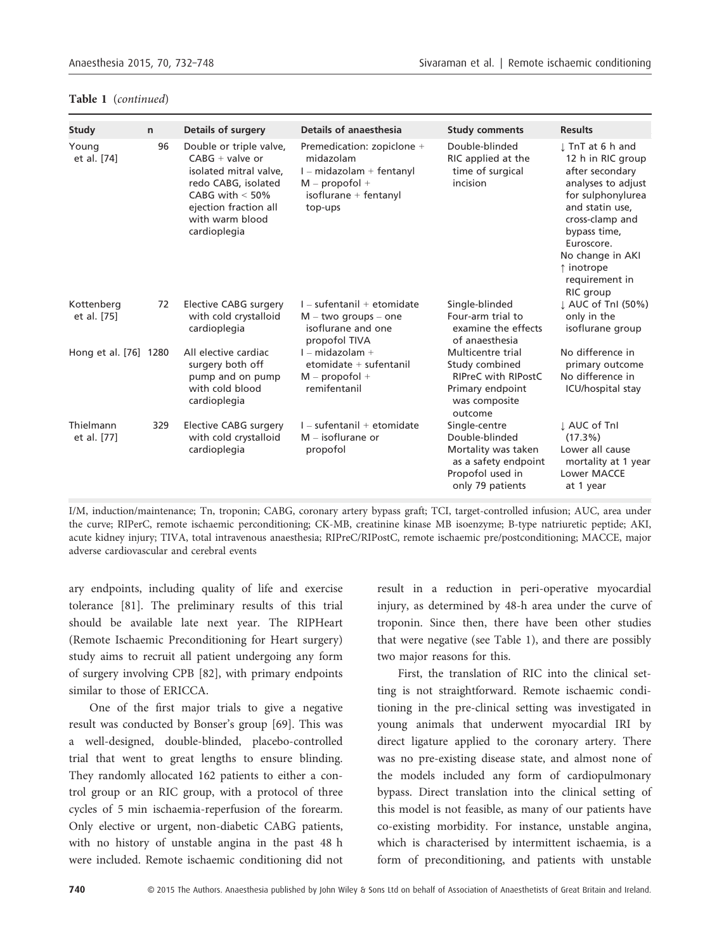| Study                     | $\mathsf{n}$ | <b>Details of surgery</b>                                                                                                                                                      | <b>Details of anaesthesia</b>                                                                                                 | <b>Study comments</b>                                                                                                  | <b>Results</b>                                                                                                                                                                                                                           |
|---------------------------|--------------|--------------------------------------------------------------------------------------------------------------------------------------------------------------------------------|-------------------------------------------------------------------------------------------------------------------------------|------------------------------------------------------------------------------------------------------------------------|------------------------------------------------------------------------------------------------------------------------------------------------------------------------------------------------------------------------------------------|
| Young<br>et al. [74]      | 96           | Double or triple valve,<br>$CABG + value$ or<br>isolated mitral valve.<br>redo CABG, isolated<br>CABG with $<$ 50%<br>ejection fraction all<br>with warm blood<br>cardioplegia | Premedication: zopiclone +<br>midazolam<br>$I$ – midazolam + fentanyl<br>$M$ – propofol +<br>isoflurane + fentanyl<br>top-ups | Double-blinded<br>RIC applied at the<br>time of surgical<br>incision                                                   | I TnT at 6 h and<br>12 h in RIC group<br>after secondary<br>analyses to adjust<br>for sulphonylurea<br>and statin use.<br>cross-clamp and<br>bypass time,<br>Euroscore.<br>No change in AKI<br>↑ inotrope<br>requirement in<br>RIC group |
| Kottenberg<br>et al. [75] | 72           | Elective CABG surgery<br>with cold crystalloid<br>cardioplegia                                                                                                                 | $I - s$ ufentanil + etomidate<br>$M - two groups - one$<br>isoflurane and one<br>propofol TIVA                                | Single-blinded<br>Four-arm trial to<br>examine the effects<br>of anaesthesia                                           | ↓ AUC of TnI (50%)<br>only in the<br>isoflurane group                                                                                                                                                                                    |
| Hong et al. [76] 1280     |              | All elective cardiac<br>surgery both off<br>pump and on pump<br>with cold blood<br>cardioplegia                                                                                | I - midazolam +<br>$etomidate + sufentanil$<br>$M$ – propofol +<br>remifentanil                                               | Multicentre trial<br>Study combined<br><b>RIPreC with RIPostC</b><br>Primary endpoint<br>was composite<br>outcome      | No difference in<br>primary outcome<br>No difference in<br><b>ICU/hospital stay</b>                                                                                                                                                      |
| Thielmann<br>et al. [77]  | 329          | Elective CABG surgery<br>with cold crystalloid<br>cardioplegia                                                                                                                 | $I - s$ ufentanil + etomidate<br>$M -$ isoflurane or<br>propofol                                                              | Single-centre<br>Double-blinded<br>Mortality was taken<br>as a safety endpoint<br>Propofol used in<br>only 79 patients | L AUC of Tnl<br>$(17.3\%)$<br>Lower all cause<br>mortality at 1 year<br>Lower MACCE<br>at 1 year                                                                                                                                         |

#### Table 1 (continued)

I/M, induction/maintenance; Tn, troponin; CABG, coronary artery bypass graft; TCI, target-controlled infusion; AUC, area under the curve; RIPerC, remote ischaemic perconditioning; CK-MB, creatinine kinase MB isoenzyme; B-type natriuretic peptide; AKI, acute kidney injury; TIVA, total intravenous anaesthesia; RIPreC/RIPostC, remote ischaemic pre/postconditioning; MACCE, major adverse cardiovascular and cerebral events

ary endpoints, including quality of life and exercise tolerance [81]. The preliminary results of this trial should be available late next year. The RIPHeart (Remote Ischaemic Preconditioning for Heart surgery) study aims to recruit all patient undergoing any form of surgery involving CPB [82], with primary endpoints similar to those of ERICCA.

One of the first major trials to give a negative result was conducted by Bonser's group [69]. This was a well-designed, double-blinded, placebo-controlled trial that went to great lengths to ensure blinding. They randomly allocated 162 patients to either a control group or an RIC group, with a protocol of three cycles of 5 min ischaemia-reperfusion of the forearm. Only elective or urgent, non-diabetic CABG patients, with no history of unstable angina in the past 48 h were included. Remote ischaemic conditioning did not result in a reduction in peri-operative myocardial injury, as determined by 48-h area under the curve of troponin. Since then, there have been other studies that were negative (see Table 1), and there are possibly two major reasons for this.

First, the translation of RIC into the clinical setting is not straightforward. Remote ischaemic conditioning in the pre-clinical setting was investigated in young animals that underwent myocardial IRI by direct ligature applied to the coronary artery. There was no pre-existing disease state, and almost none of the models included any form of cardiopulmonary bypass. Direct translation into the clinical setting of this model is not feasible, as many of our patients have co-existing morbidity. For instance, unstable angina, which is characterised by intermittent ischaemia, is a form of preconditioning, and patients with unstable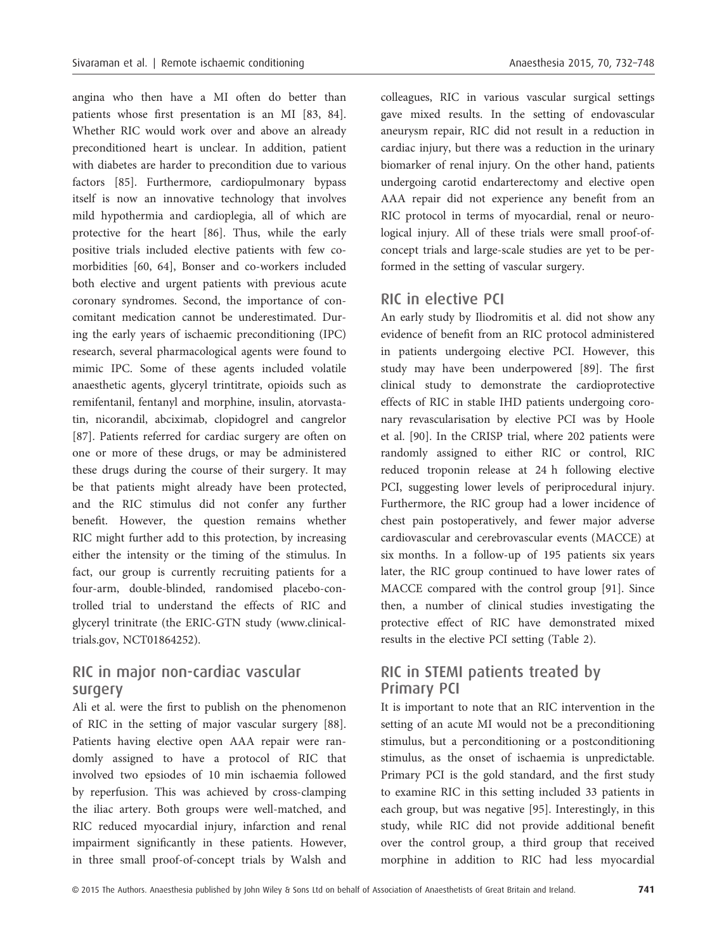angina who then have a MI often do better than patients whose first presentation is an MI [83, 84]. Whether RIC would work over and above an already preconditioned heart is unclear. In addition, patient with diabetes are harder to precondition due to various factors [85]. Furthermore, cardiopulmonary bypass itself is now an innovative technology that involves mild hypothermia and cardioplegia, all of which are protective for the heart [86]. Thus, while the early positive trials included elective patients with few comorbidities [60, 64], Bonser and co-workers included both elective and urgent patients with previous acute coronary syndromes. Second, the importance of concomitant medication cannot be underestimated. During the early years of ischaemic preconditioning (IPC) research, several pharmacological agents were found to mimic IPC. Some of these agents included volatile anaesthetic agents, glyceryl trintitrate, opioids such as remifentanil, fentanyl and morphine, insulin, atorvastatin, nicorandil, abciximab, clopidogrel and cangrelor [87]. Patients referred for cardiac surgery are often on one or more of these drugs, or may be administered these drugs during the course of their surgery. It may be that patients might already have been protected, and the RIC stimulus did not confer any further benefit. However, the question remains whether RIC might further add to this protection, by increasing either the intensity or the timing of the stimulus. In fact, our group is currently recruiting patients for a four-arm, double-blinded, randomised placebo-controlled trial to understand the effects of RIC and glyceryl trinitrate (the ERIC-GTN study (www.clinicaltrials.gov, NCT01864252).

## RIC in major non-cardiac vascular surgery

Ali et al. were the first to publish on the phenomenon of RIC in the setting of major vascular surgery [88]. Patients having elective open AAA repair were randomly assigned to have a protocol of RIC that involved two epsiodes of 10 min ischaemia followed by reperfusion. This was achieved by cross-clamping the iliac artery. Both groups were well-matched, and RIC reduced myocardial injury, infarction and renal impairment significantly in these patients. However, in three small proof-of-concept trials by Walsh and

colleagues, RIC in various vascular surgical settings gave mixed results. In the setting of endovascular aneurysm repair, RIC did not result in a reduction in cardiac injury, but there was a reduction in the urinary biomarker of renal injury. On the other hand, patients undergoing carotid endarterectomy and elective open AAA repair did not experience any benefit from an RIC protocol in terms of myocardial, renal or neurological injury. All of these trials were small proof-ofconcept trials and large-scale studies are yet to be per-

## RIC in elective PCI

formed in the setting of vascular surgery.

An early study by Iliodromitis et al. did not show any evidence of benefit from an RIC protocol administered in patients undergoing elective PCI. However, this study may have been underpowered [89]. The first clinical study to demonstrate the cardioprotective effects of RIC in stable IHD patients undergoing coronary revascularisation by elective PCI was by Hoole et al. [90]. In the CRISP trial, where 202 patients were randomly assigned to either RIC or control, RIC reduced troponin release at 24 h following elective PCI, suggesting lower levels of periprocedural injury. Furthermore, the RIC group had a lower incidence of chest pain postoperatively, and fewer major adverse cardiovascular and cerebrovascular events (MACCE) at six months. In a follow-up of 195 patients six years later, the RIC group continued to have lower rates of MACCE compared with the control group [91]. Since then, a number of clinical studies investigating the protective effect of RIC have demonstrated mixed results in the elective PCI setting (Table 2).

## RIC in STEMI patients treated by Primary PCI

It is important to note that an RIC intervention in the setting of an acute MI would not be a preconditioning stimulus, but a perconditioning or a postconditioning stimulus, as the onset of ischaemia is unpredictable. Primary PCI is the gold standard, and the first study to examine RIC in this setting included 33 patients in each group, but was negative [95]. Interestingly, in this study, while RIC did not provide additional benefit over the control group, a third group that received morphine in addition to RIC had less myocardial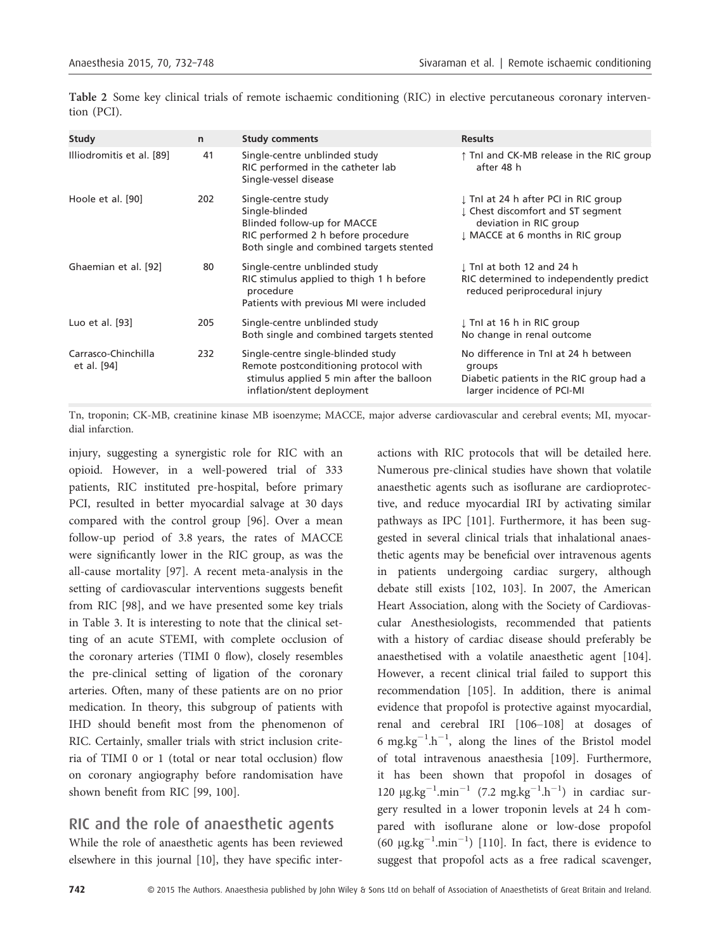| Study                              | $\mathsf{n}$ | <b>Study comments</b>                                                                                                                                  | <b>Results</b>                                                                                                                          |
|------------------------------------|--------------|--------------------------------------------------------------------------------------------------------------------------------------------------------|-----------------------------------------------------------------------------------------------------------------------------------------|
| Illiodromitis et al. [89]          | 41           | Single-centre unblinded study<br>RIC performed in the catheter lab<br>Single-vessel disease                                                            | ↑ TnI and CK-MB release in the RIC group<br>after 48 h                                                                                  |
| Hoole et al. [90]                  | 202          | Single-centre study<br>Single-blinded<br>Blinded follow-up for MACCE<br>RIC performed 2 h before procedure<br>Both single and combined targets stented | ↓ Tnl at 24 h after PCI in RIC group<br>I Chest discomfort and ST segment<br>deviation in RIC group<br>I MACCE at 6 months in RIC group |
| Ghaemian et al. [92]               | 80           | Single-centre unblinded study<br>RIC stimulus applied to thigh 1 h before<br>procedure<br>Patients with previous MI were included                      | I Tnl at both 12 and 24 h<br>RIC determined to independently predict<br>reduced periprocedural injury                                   |
| Luo et al. [93]                    | 205          | Single-centre unblinded study<br>Both single and combined targets stented                                                                              | ↓ Tnl at 16 h in RIC group<br>No change in renal outcome                                                                                |
| Carrasco-Chinchilla<br>et al. [94] | 232          | Single-centre single-blinded study<br>Remote postconditioning protocol with<br>stimulus applied 5 min after the balloon<br>inflation/stent deployment  | No difference in TnI at 24 h between<br>groups<br>Diabetic patients in the RIC group had a<br>larger incidence of PCI-MI                |

Table 2 Some key clinical trials of remote ischaemic conditioning (RIC) in elective percutaneous coronary intervention (PCI).

Tn, troponin; CK-MB, creatinine kinase MB isoenzyme; MACCE, major adverse cardiovascular and cerebral events; MI, myocardial infarction.

injury, suggesting a synergistic role for RIC with an opioid. However, in a well-powered trial of 333 patients, RIC instituted pre-hospital, before primary PCI, resulted in better myocardial salvage at 30 days compared with the control group [96]. Over a mean follow-up period of 3.8 years, the rates of MACCE were significantly lower in the RIC group, as was the all-cause mortality [97]. A recent meta-analysis in the setting of cardiovascular interventions suggests benefit from RIC [98], and we have presented some key trials in Table 3. It is interesting to note that the clinical setting of an acute STEMI, with complete occlusion of the coronary arteries (TIMI 0 flow), closely resembles the pre-clinical setting of ligation of the coronary arteries. Often, many of these patients are on no prior medication. In theory, this subgroup of patients with IHD should benefit most from the phenomenon of RIC. Certainly, smaller trials with strict inclusion criteria of TIMI 0 or 1 (total or near total occlusion) flow on coronary angiography before randomisation have shown benefit from RIC [99, 100].

## RIC and the role of anaesthetic agents

While the role of anaesthetic agents has been reviewed elsewhere in this journal [10], they have specific interactions with RIC protocols that will be detailed here. Numerous pre-clinical studies have shown that volatile anaesthetic agents such as isoflurane are cardioprotective, and reduce myocardial IRI by activating similar pathways as IPC [101]. Furthermore, it has been suggested in several clinical trials that inhalational anaesthetic agents may be beneficial over intravenous agents in patients undergoing cardiac surgery, although debate still exists [102, 103]. In 2007, the American Heart Association, along with the Society of Cardiovascular Anesthesiologists, recommended that patients with a history of cardiac disease should preferably be anaesthetised with a volatile anaesthetic agent [104]. However, a recent clinical trial failed to support this recommendation [105]. In addition, there is animal evidence that propofol is protective against myocardial, renal and cerebral IRI [106–108] at dosages of 6 mg.kg $^{-1}$ .h $^{-1}$ , along the lines of the Bristol model of total intravenous anaesthesia [109]. Furthermore, it has been shown that propofol in dosages of 120  $\mu$ g.kg<sup>-1</sup>.min<sup>-1</sup> (7.2 mg.kg<sup>-1</sup>.h<sup>-1</sup>) in cardiac surgery resulted in a lower troponin levels at 24 h compared with isoflurane alone or low-dose propofol (60  $\mu$ g.kg<sup>-1</sup>.min<sup>-1</sup>) [110]. In fact, there is evidence to suggest that propofol acts as a free radical scavenger,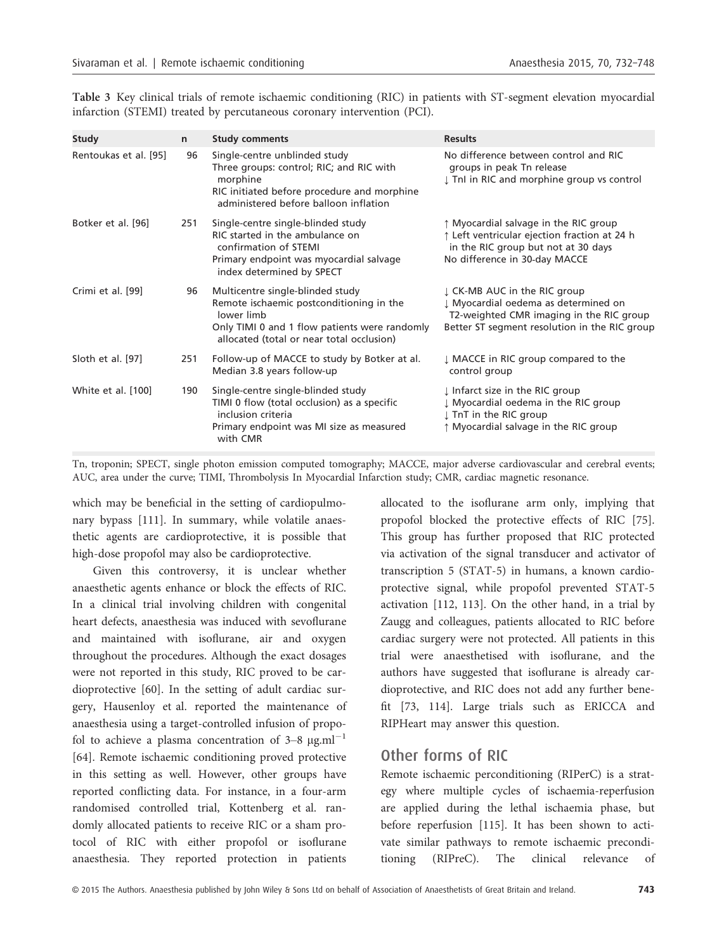| Study                 | $\mathsf{n}$ | <b>Study comments</b>                                                                                                                                                                    | <b>Results</b>                                                                                                                                                    |
|-----------------------|--------------|------------------------------------------------------------------------------------------------------------------------------------------------------------------------------------------|-------------------------------------------------------------------------------------------------------------------------------------------------------------------|
| Rentoukas et al. [95] | 96           | Single-centre unblinded study<br>Three groups: control; RIC; and RIC with<br>morphine<br>RIC initiated before procedure and morphine<br>administered before balloon inflation            | No difference between control and RIC<br>groups in peak Tn release<br>I TnI in RIC and morphine group vs control                                                  |
| Botker et al. [96]    | 251          | Single-centre single-blinded study<br>RIC started in the ambulance on<br>confirmation of STEMI<br>Primary endpoint was myocardial salvage<br>index determined by SPECT                   | ↑ Myocardial salvage in the RIC group<br>↑ Left ventricular ejection fraction at 24 h<br>in the RIC group but not at 30 days<br>No difference in 30-day MACCE     |
| Crimi et al. [99]     | 96           | Multicentre single-blinded study<br>Remote ischaemic postconditioning in the<br>lower limb<br>Only TIMI 0 and 1 flow patients were randomly<br>allocated (total or near total occlusion) | ↓ CK-MB AUC in the RIC group<br>↓ Myocardial oedema as determined on<br>T2-weighted CMR imaging in the RIC group<br>Better ST segment resolution in the RIC group |
| Sloth et al. [97]     | 251          | Follow-up of MACCE to study by Botker at al.<br>Median 3.8 years follow-up                                                                                                               | ↓ MACCE in RIC group compared to the<br>control group                                                                                                             |
| White et al. [100]    | 190          | Single-centre single-blinded study<br>TIMI 0 flow (total occlusion) as a specific<br>inclusion criteria<br>Primary endpoint was MI size as measured<br>with CMR                          | I Infarct size in the RIC group<br>I Myocardial oedema in the RIC group<br>↓ TnT in the RIC group<br>↑ Myocardial salvage in the RIC group                        |

Table 3 Key clinical trials of remote ischaemic conditioning (RIC) in patients with ST-segment elevation myocardial infarction (STEMI) treated by percutaneous coronary intervention (PCI).

Tn, troponin; SPECT, single photon emission computed tomography; MACCE, major adverse cardiovascular and cerebral events; AUC, area under the curve; TIMI, Thrombolysis In Myocardial Infarction study; CMR, cardiac magnetic resonance.

which may be beneficial in the setting of cardiopulmonary bypass [111]. In summary, while volatile anaesthetic agents are cardioprotective, it is possible that high-dose propofol may also be cardioprotective.

Given this controversy, it is unclear whether anaesthetic agents enhance or block the effects of RIC. In a clinical trial involving children with congenital heart defects, anaesthesia was induced with sevoflurane and maintained with isoflurane, air and oxygen throughout the procedures. Although the exact dosages were not reported in this study, RIC proved to be cardioprotective [60]. In the setting of adult cardiac surgery, Hausenloy et al. reported the maintenance of anaesthesia using a target-controlled infusion of propofol to achieve a plasma concentration of  $3-8 \mu g.m$ <sup>-1</sup> [64]. Remote ischaemic conditioning proved protective in this setting as well. However, other groups have reported conflicting data. For instance, in a four-arm randomised controlled trial, Kottenberg et al. randomly allocated patients to receive RIC or a sham protocol of RIC with either propofol or isoflurane anaesthesia. They reported protection in patients

allocated to the isoflurane arm only, implying that propofol blocked the protective effects of RIC [75]. This group has further proposed that RIC protected via activation of the signal transducer and activator of transcription 5 (STAT-5) in humans, a known cardioprotective signal, while propofol prevented STAT-5 activation [112, 113]. On the other hand, in a trial by Zaugg and colleagues, patients allocated to RIC before cardiac surgery were not protected. All patients in this trial were anaesthetised with isoflurane, and the authors have suggested that isoflurane is already cardioprotective, and RIC does not add any further benefit [73, 114]. Large trials such as ERICCA and RIPHeart may answer this question.

## Other forms of RIC

Remote ischaemic perconditioning (RIPerC) is a strategy where multiple cycles of ischaemia-reperfusion are applied during the lethal ischaemia phase, but before reperfusion [115]. It has been shown to activate similar pathways to remote ischaemic preconditioning (RIPreC). The clinical relevance of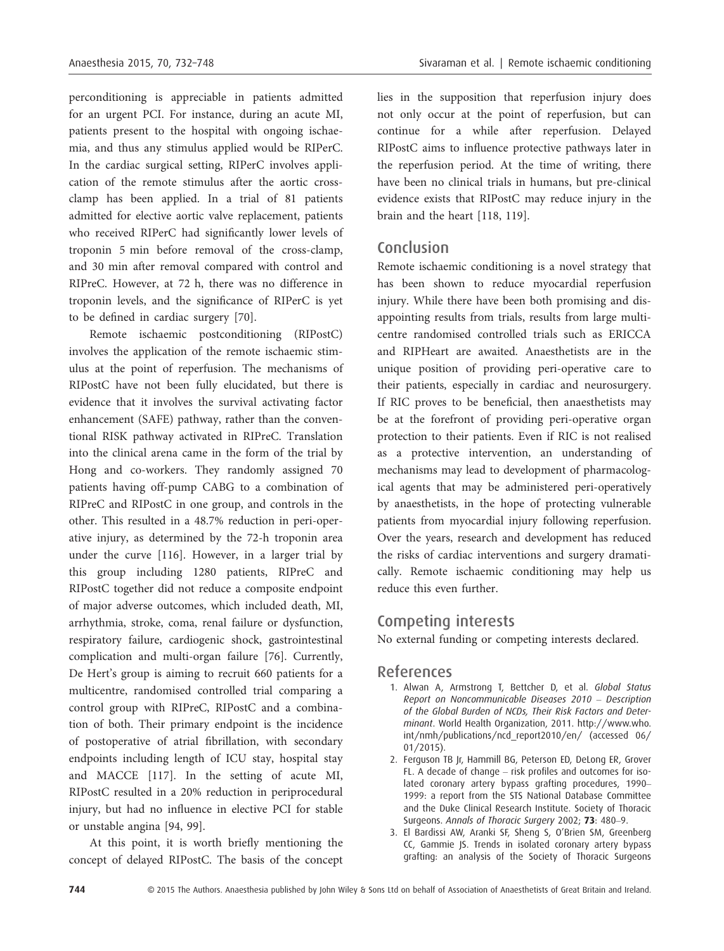perconditioning is appreciable in patients admitted for an urgent PCI. For instance, during an acute MI, patients present to the hospital with ongoing ischaemia, and thus any stimulus applied would be RIPerC. In the cardiac surgical setting, RIPerC involves application of the remote stimulus after the aortic crossclamp has been applied. In a trial of 81 patients admitted for elective aortic valve replacement, patients who received RIPerC had significantly lower levels of troponin 5 min before removal of the cross-clamp, and 30 min after removal compared with control and RIPreC. However, at 72 h, there was no difference in troponin levels, and the significance of RIPerC is yet to be defined in cardiac surgery [70].

Remote ischaemic postconditioning (RIPostC) involves the application of the remote ischaemic stimulus at the point of reperfusion. The mechanisms of RIPostC have not been fully elucidated, but there is evidence that it involves the survival activating factor enhancement (SAFE) pathway, rather than the conventional RISK pathway activated in RIPreC. Translation into the clinical arena came in the form of the trial by Hong and co-workers. They randomly assigned 70 patients having off-pump CABG to a combination of RIPreC and RIPostC in one group, and controls in the other. This resulted in a 48.7% reduction in peri-operative injury, as determined by the 72-h troponin area under the curve [116]. However, in a larger trial by this group including 1280 patients, RIPreC and RIPostC together did not reduce a composite endpoint of major adverse outcomes, which included death, MI, arrhythmia, stroke, coma, renal failure or dysfunction, respiratory failure, cardiogenic shock, gastrointestinal complication and multi-organ failure [76]. Currently, De Hert's group is aiming to recruit 660 patients for a multicentre, randomised controlled trial comparing a control group with RIPreC, RIPostC and a combination of both. Their primary endpoint is the incidence of postoperative of atrial fibrillation, with secondary endpoints including length of ICU stay, hospital stay and MACCE [117]. In the setting of acute MI, RIPostC resulted in a 20% reduction in periprocedural injury, but had no influence in elective PCI for stable or unstable angina [94, 99].

At this point, it is worth briefly mentioning the concept of delayed RIPostC. The basis of the concept lies in the supposition that reperfusion injury does not only occur at the point of reperfusion, but can continue for a while after reperfusion. Delayed RIPostC aims to influence protective pathways later in the reperfusion period. At the time of writing, there have been no clinical trials in humans, but pre-clinical evidence exists that RIPostC may reduce injury in the brain and the heart [118, 119].

## Conclusion

Remote ischaemic conditioning is a novel strategy that has been shown to reduce myocardial reperfusion injury. While there have been both promising and disappointing results from trials, results from large multicentre randomised controlled trials such as ERICCA and RIPHeart are awaited. Anaesthetists are in the unique position of providing peri-operative care to their patients, especially in cardiac and neurosurgery. If RIC proves to be beneficial, then anaesthetists may be at the forefront of providing peri-operative organ protection to their patients. Even if RIC is not realised as a protective intervention, an understanding of mechanisms may lead to development of pharmacological agents that may be administered peri-operatively by anaesthetists, in the hope of protecting vulnerable patients from myocardial injury following reperfusion. Over the years, research and development has reduced the risks of cardiac interventions and surgery dramatically. Remote ischaemic conditioning may help us reduce this even further.

## Competing interests

No external funding or competing interests declared.

#### References

- 1. Alwan A, Armstrong T, Bettcher D, et al. Global Status Report on Noncommunicable Diseases 2010 – Description of the Global Burden of NCDs, Their Risk Factors and Determinant. World Health Organization, 2011. http://www.who. int/nmh/publications/ncd\_report2010/en/ (accessed 06/ 01/2015).
- 2. Ferguson TB Jr, Hammill BG, Peterson ED, DeLong ER, Grover FL. A decade of change – risk profiles and outcomes for isolated coronary artery bypass grafting procedures, 1990– 1999: a report from the STS National Database Committee and the Duke Clinical Research Institute. Society of Thoracic Surgeons. Annals of Thoracic Surgery 2002; 73: 480-9.
- 3. El Bardissi AW, Aranki SF, Sheng S, O'Brien SM, Greenberg CC, Gammie JS. Trends in isolated coronary artery bypass grafting: an analysis of the Society of Thoracic Surgeons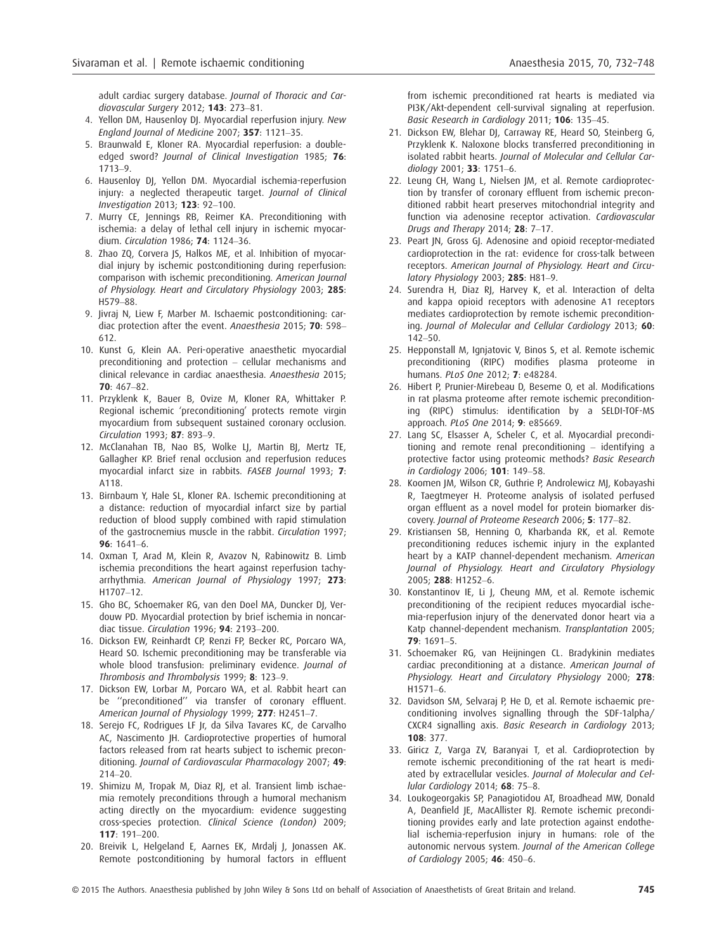adult cardiac surgery database. Journal of Thoracic and Cardiovascular Surgery 2012: 143: 273-81.

- 4. Yellon DM, Hausenloy DJ. Myocardial reperfusion injury. New England Journal of Medicine 2007; 357: 1121–35.
- 5. Braunwald E, Kloner RA. Myocardial reperfusion: a doubleedged sword? Journal of Clinical Investigation 1985; 76: 1713–9.
- 6. Hausenloy DJ, Yellon DM. Myocardial ischemia-reperfusion injury: a neglected therapeutic target. Journal of Clinical Investigation 2013; 123: 92–100.
- 7. Murry CE, Jennings RB, Reimer KA. Preconditioning with ischemia: a delay of lethal cell injury in ischemic myocardium. Circulation 1986; 74: 1124–36.
- 8. Zhao ZQ, Corvera JS, Halkos ME, et al. Inhibition of myocardial injury by ischemic postconditioning during reperfusion: comparison with ischemic preconditioning. American Journal of Physiology. Heart and Circulatory Physiology 2003; 285: H579–88.
- 9. Jivraj N, Liew F, Marber M. Ischaemic postconditioning: cardiac protection after the event. Anaesthesia 2015; 70: 598-612.
- 10. Kunst G, Klein AA. Peri-operative anaesthetic myocardial preconditioning and protection – cellular mechanisms and clinical relevance in cardiac anaesthesia. Anaesthesia 2015; 70: 467–82.
- 11. Przyklenk K, Bauer B, Ovize M, Kloner RA, Whittaker P. Regional ischemic 'preconditioning' protects remote virgin myocardium from subsequent sustained coronary occlusion. Circulation 1993; 87: 893–9.
- 12. McClanahan TB, Nao BS, Wolke LJ, Martin BJ, Mertz TE, Gallagher KP. Brief renal occlusion and reperfusion reduces myocardial infarct size in rabbits. FASEB Journal 1993; 7: A118.
- 13. Birnbaum Y, Hale SL, Kloner RA. Ischemic preconditioning at a distance: reduction of myocardial infarct size by partial reduction of blood supply combined with rapid stimulation of the gastrocnemius muscle in the rabbit. Circulation 1997; 96: 1641–6.
- 14. Oxman T, Arad M, Klein R, Avazov N, Rabinowitz B. Limb ischemia preconditions the heart against reperfusion tachyarrhythmia. American Journal of Physiology 1997; 273: H1707–12.
- 15. Gho BC, Schoemaker RG, van den Doel MA, Duncker DJ, Verdouw PD. Myocardial protection by brief ischemia in noncardiac tissue. Circulation 1996; 94: 2193–200.
- 16. Dickson EW, Reinhardt CP, Renzi FP, Becker RC, Porcaro WA, Heard SO. Ischemic preconditioning may be transferable via whole blood transfusion: preliminary evidence. Journal of Thrombosis and Thrombolysis 1999; 8: 123–9.
- 17. Dickson EW, Lorbar M, Porcaro WA, et al. Rabbit heart can be ''preconditioned'' via transfer of coronary effluent. American Journal of Physiology 1999; 277: H2451–7.
- 18. Serejo FC, Rodrigues LF Jr, da Silva Tavares KC, de Carvalho AC, Nascimento JH. Cardioprotective properties of humoral factors released from rat hearts subject to ischemic preconditioning. Journal of Cardiovascular Pharmacology 2007; 49: 214–20.
- 19. Shimizu M, Tropak M, Diaz RJ, et al. Transient limb ischaemia remotely preconditions through a humoral mechanism acting directly on the myocardium: evidence suggesting cross-species protection. Clinical Science (London) 2009; 117: 191–200.
- 20. Breivik L, Helgeland E, Aarnes EK, Mrdalj J, Jonassen AK. Remote postconditioning by humoral factors in effluent

from ischemic preconditioned rat hearts is mediated via PI3K/Akt-dependent cell-survival signaling at reperfusion. Basic Research in Cardiology 2011; 106: 135–45.

- 21. Dickson EW, Blehar DJ, Carraway RE, Heard SO, Steinberg G, Przyklenk K. Naloxone blocks transferred preconditioning in isolated rabbit hearts. Journal of Molecular and Cellular Cardiology 2001: 33: 1751-6.
- 22. Leung CH, Wang L, Nielsen JM, et al. Remote cardioprotection by transfer of coronary effluent from ischemic preconditioned rabbit heart preserves mitochondrial integrity and function via adenosine receptor activation. Cardiovascular Drugs and Therapy 2014; 28: 7–17.
- 23. Peart IN, Gross GI. Adenosine and opioid receptor-mediated cardioprotection in the rat: evidence for cross-talk between receptors. American Journal of Physiology. Heart and Circulatory Physiology 2003; 285: H81–9.
- 24. Surendra H, Diaz RJ, Harvey K, et al. Interaction of delta and kappa opioid receptors with adenosine A1 receptors mediates cardioprotection by remote ischemic preconditioning. Journal of Molecular and Cellular Cardiology 2013; 60: 142–50.
- 25. Hepponstall M, Ignjatovic V, Binos S, et al. Remote ischemic preconditioning (RIPC) modifies plasma proteome in humans. PLoS One 2012; 7: e48284.
- 26. Hibert P, Prunier-Mirebeau D, Beseme O, et al. Modifications in rat plasma proteome after remote ischemic preconditioning (RIPC) stimulus: identification by a SELDI-TOF-MS approach. PLoS One 2014; 9: e85669.
- 27. Lang SC, Elsasser A, Scheler C, et al. Myocardial preconditioning and remote renal preconditioning – identifying a protective factor using proteomic methods? Basic Research in Cardiology 2006; 101: 149–58.
- 28. Koomen JM, Wilson CR, Guthrie P, Androlewicz MJ, Kobayashi R, Taegtmeyer H. Proteome analysis of isolated perfused organ effluent as a novel model for protein biomarker discovery. Journal of Proteome Research 2006; 5: 177–82.
- 29. Kristiansen SB, Henning O, Kharbanda RK, et al. Remote preconditioning reduces ischemic injury in the explanted heart by a KATP channel-dependent mechanism. American Journal of Physiology. Heart and Circulatory Physiology 2005; 288: H1252–6.
- 30. Konstantinov IE, Li J, Cheung MM, et al. Remote ischemic preconditioning of the recipient reduces myocardial ischemia-reperfusion injury of the denervated donor heart via a Katp channel-dependent mechanism. Transplantation 2005; 79: 1691–5.
- 31. Schoemaker RG, van Heijningen CL. Bradykinin mediates cardiac preconditioning at a distance. American Journal of Physiology. Heart and Circulatory Physiology 2000; 278: H1571–6.
- 32. Davidson SM, Selvaraj P, He D, et al. Remote ischaemic preconditioning involves signalling through the SDF-1alpha/ CXCR4 signalling axis. Basic Research in Cardiology 2013; 108: 377.
- 33. Giricz Z, Varga ZV, Baranyai T, et al. Cardioprotection by remote ischemic preconditioning of the rat heart is mediated by extracellular vesicles. Journal of Molecular and Cellular Cardiology 2014; 68: 75–8.
- 34. Loukogeorgakis SP, Panagiotidou AT, Broadhead MW, Donald A, Deanfield JE, MacAllister RJ. Remote ischemic preconditioning provides early and late protection against endothelial ischemia-reperfusion injury in humans: role of the autonomic nervous system. Journal of the American College of Cardiology 2005; 46: 450–6.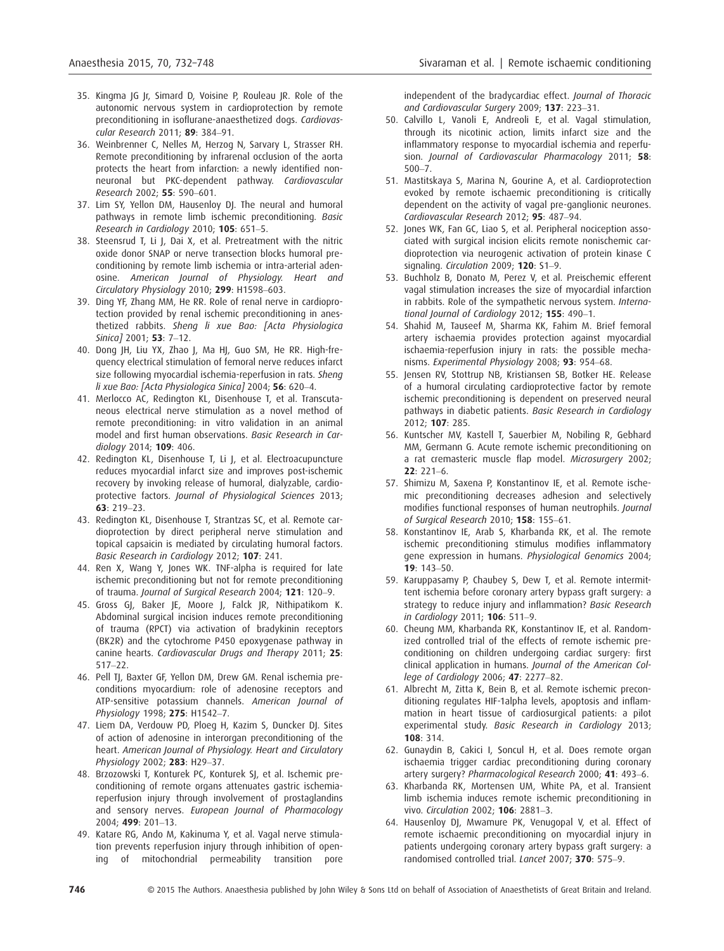- 35. Kingma JG Jr, Simard D, Voisine P, Rouleau JR. Role of the autonomic nervous system in cardioprotection by remote preconditioning in isoflurane-anaesthetized dogs. Cardiovascular Research 2011; 89: 384–91.
- 36. Weinbrenner C, Nelles M, Herzog N, Sarvary L, Strasser RH. Remote preconditioning by infrarenal occlusion of the aorta protects the heart from infarction: a newly identified nonneuronal but PKC-dependent pathway. Cardiovascular Research 2002; 55: 590–601.
- 37. Lim SY, Yellon DM, Hausenloy DJ. The neural and humoral pathways in remote limb ischemic preconditioning. Basic Research in Cardiology 2010; 105: 651–5.
- 38. Steensrud T, Li J, Dai X, et al. Pretreatment with the nitric oxide donor SNAP or nerve transection blocks humoral preconditioning by remote limb ischemia or intra-arterial adenosine. American Journal of Physiology. Heart and Circulatory Physiology 2010; 299: H1598–603.
- 39. Ding YF, Zhang MM, He RR. Role of renal nerve in cardioprotection provided by renal ischemic preconditioning in anesthetized rabbits. Sheng li xue Bao: [Acta Physiologica Sinica] 2001; **53**: 7-12.
- 40. Dong JH, Liu YX, Zhao J, Ma HJ, Guo SM, He RR. High-frequency electrical stimulation of femoral nerve reduces infarct size following myocardial ischemia-reperfusion in rats. Sheng li xue Bao: [Acta Physiologica Sinica] 2004; 56: 620-4.
- 41. Merlocco AC, Redington KL, Disenhouse T, et al. Transcutaneous electrical nerve stimulation as a novel method of remote preconditioning: in vitro validation in an animal model and first human observations. Basic Research in Cardiology 2014; 109: 406.
- 42. Redington KL, Disenhouse T, Li J, et al. Electroacupuncture reduces myocardial infarct size and improves post-ischemic recovery by invoking release of humoral, dialyzable, cardioprotective factors. Journal of Physiological Sciences 2013; 63: 219–23.
- 43. Redington KL, Disenhouse T, Strantzas SC, et al. Remote cardioprotection by direct peripheral nerve stimulation and topical capsaicin is mediated by circulating humoral factors. Basic Research in Cardiology 2012; 107: 241.
- 44. Ren X, Wang Y, Jones WK. TNF-alpha is required for late ischemic preconditioning but not for remote preconditioning of trauma. Journal of Surgical Research 2004; 121: 120–9.
- 45. Gross GJ, Baker JE, Moore J, Falck JR, Nithipatikom K. Abdominal surgical incision induces remote preconditioning of trauma (RPCT) via activation of bradykinin receptors (BK2R) and the cytochrome P450 epoxygenase pathway in canine hearts. Cardiovascular Drugs and Therapy 2011; 25: 517–22.
- 46. Pell TJ, Baxter GF, Yellon DM, Drew GM. Renal ischemia preconditions myocardium: role of adenosine receptors and ATP-sensitive potassium channels. American Journal of Physiology 1998; 275: H1542–7.
- 47. Liem DA, Verdouw PD, Ploeg H, Kazim S, Duncker DJ. Sites of action of adenosine in interorgan preconditioning of the heart. American Journal of Physiology. Heart and Circulatory Physiology 2002; 283: H29–37.
- 48. Brzozowski T, Konturek PC, Konturek SJ, et al. Ischemic preconditioning of remote organs attenuates gastric ischemiareperfusion injury through involvement of prostaglandins and sensory nerves. European Journal of Pharmacology 2004; 499: 201–13.
- 49. Katare RG, Ando M, Kakinuma Y, et al. Vagal nerve stimulation prevents reperfusion injury through inhibition of opening of mitochondrial permeability transition pore

independent of the bradycardiac effect. Journal of Thoracic and Cardiovascular Surgery 2009; 137: 223–31.

- 50. Calvillo L, Vanoli E, Andreoli E, et al. Vagal stimulation, through its nicotinic action, limits infarct size and the inflammatory response to myocardial ischemia and reperfusion. Journal of Cardiovascular Pharmacology 2011; 58: 500–7.
- 51. Mastitskaya S, Marina N, Gourine A, et al. Cardioprotection evoked by remote ischaemic preconditioning is critically dependent on the activity of vagal pre-ganglionic neurones. Cardiovascular Research 2012; 95: 487–94.
- 52. Jones WK, Fan GC, Liao S, et al. Peripheral nociception associated with surgical incision elicits remote nonischemic cardioprotection via neurogenic activation of protein kinase C signaling. Circulation 2009; 120: S1-9.
- 53. Buchholz B, Donato M, Perez V, et al. Preischemic efferent vagal stimulation increases the size of myocardial infarction in rabbits. Role of the sympathetic nervous system. International Journal of Cardiology 2012; 155: 490-1.
- 54. Shahid M, Tauseef M, Sharma KK, Fahim M. Brief femoral artery ischaemia provides protection against myocardial ischaemia-reperfusion injury in rats: the possible mechanisms. Experimental Physiology 2008; 93: 954–68.
- 55. Jensen RV, Stottrup NB, Kristiansen SB, Botker HE. Release of a humoral circulating cardioprotective factor by remote ischemic preconditioning is dependent on preserved neural pathways in diabetic patients. Basic Research in Cardiology 2012; 107: 285.
- 56. Kuntscher MV, Kastell T, Sauerbier M, Nobiling R, Gebhard MM, Germann G. Acute remote ischemic preconditioning on a rat cremasteric muscle flap model. Microsurgery 2002; 22: 221–6.
- 57. Shimizu M, Saxena P, Konstantinov IE, et al. Remote ischemic preconditioning decreases adhesion and selectively modifies functional responses of human neutrophils. Journal of Surgical Research 2010; 158: 155–61.
- 58. Konstantinov IE, Arab S, Kharbanda RK, et al. The remote ischemic preconditioning stimulus modifies inflammatory gene expression in humans. Physiological Genomics 2004; 19: 143–50.
- 59. Karuppasamy P, Chaubey S, Dew T, et al. Remote intermittent ischemia before coronary artery bypass graft surgery: a strategy to reduce injury and inflammation? Basic Research in Cardiology 2011; 106: 511–9.
- 60. Cheung MM, Kharbanda RK, Konstantinov IE, et al. Randomized controlled trial of the effects of remote ischemic preconditioning on children undergoing cardiac surgery: first clinical application in humans. Journal of the American College of Cardiology 2006; 47: 2277–82.
- 61. Albrecht M, Zitta K, Bein B, et al. Remote ischemic preconditioning regulates HIF-1alpha levels, apoptosis and inflammation in heart tissue of cardiosurgical patients: a pilot experimental study. Basic Research in Cardiology 2013; 108: 314.
- 62. Gunaydin B, Cakici I, Soncul H, et al. Does remote organ ischaemia trigger cardiac preconditioning during coronary artery surgery? Pharmacological Research 2000; 41: 493–6.
- 63. Kharbanda RK, Mortensen UM, White PA, et al. Transient limb ischemia induces remote ischemic preconditioning in vivo. Circulation 2002; 106: 2881–3.
- 64. Hausenloy DJ, Mwamure PK, Venugopal V, et al. Effect of remote ischaemic preconditioning on myocardial injury in patients undergoing coronary artery bypass graft surgery: a randomised controlled trial. Lancet 2007; 370: 575-9.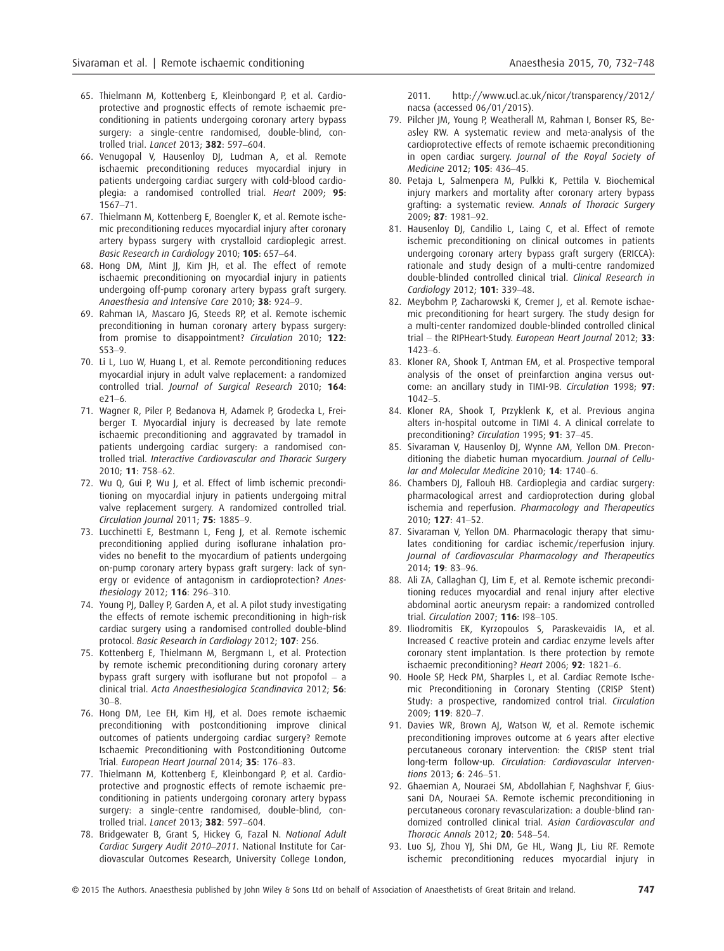- 65. Thielmann M, Kottenberg E, Kleinbongard P, et al. Cardioprotective and prognostic effects of remote ischaemic preconditioning in patients undergoing coronary artery bypass surgery: a single-centre randomised, double-blind, controlled trial. Lancet 2013; 382: 597–604.
- 66. Venugopal V, Hausenloy DJ, Ludman A, et al. Remote ischaemic preconditioning reduces myocardial injury in patients undergoing cardiac surgery with cold-blood cardio- $\overline{p}$  plegia: a randomised controlled trial. Heart 2009: **95**: 1567–71.
- 67. Thielmann M, Kottenberg E, Boengler K, et al. Remote ischemic preconditioning reduces myocardial injury after coronary artery bypass surgery with crystalloid cardioplegic arrest. Basic Research in Cardiology 2010; 105: 657–64.
- 68. Hong DM, Mint JJ, Kim JH, et al. The effect of remote ischaemic preconditioning on myocardial injury in patients undergoing off-pump coronary artery bypass graft surgery. Anaesthesia and Intensive Care 2010; 38: 924–9.
- 69. Rahman IA, Mascaro JG, Steeds RP, et al. Remote ischemic preconditioning in human coronary artery bypass surgery: from promise to disappointment? Circulation 2010; 122: S53–9.
- 70. Li L, Luo W, Huang L, et al. Remote perconditioning reduces myocardial injury in adult valve replacement: a randomized controlled trial. Journal of Surgical Research 2010; 164: e21–6.
- 71. Wagner R, Piler P, Bedanova H, Adamek P, Grodecka L, Freiberger T. Myocardial injury is decreased by late remote ischaemic preconditioning and aggravated by tramadol in patients undergoing cardiac surgery: a randomised controlled trial. Interactive Cardiovascular and Thoracic Surgery 2010; 11: 758–62.
- 72. Wu Q, Gui P, Wu J, et al. Effect of limb ischemic preconditioning on myocardial injury in patients undergoing mitral valve replacement surgery. A randomized controlled trial. Circulation Journal 2011; 75: 1885–9.
- 73. Lucchinetti E, Bestmann L, Feng J, et al. Remote ischemic preconditioning applied during isoflurane inhalation provides no benefit to the myocardium of patients undergoing on-pump coronary artery bypass graft surgery: lack of synergy or evidence of antagonism in cardioprotection? Anesthesiology 2012; 116: 296–310.
- 74. Young PJ, Dalley P, Garden A, et al. A pilot study investigating the effects of remote ischemic preconditioning in high-risk cardiac surgery using a randomised controlled double-blind protocol. Basic Research in Cardiology 2012; 107: 256.
- 75. Kottenberg E, Thielmann M, Bergmann L, et al. Protection by remote ischemic preconditioning during coronary artery bypass graft surgery with isoflurane but not propofol – a clinical trial. Acta Anaesthesiologica Scandinavica 2012; 56: 30–8.
- 76. Hong DM, Lee EH, Kim HJ, et al. Does remote ischaemic preconditioning with postconditioning improve clinical outcomes of patients undergoing cardiac surgery? Remote Ischaemic Preconditioning with Postconditioning Outcome Trial. European Heart Journal 2014; 35: 176–83.
- 77. Thielmann M, Kottenberg E, Kleinbongard P, et al. Cardioprotective and prognostic effects of remote ischaemic preconditioning in patients undergoing coronary artery bypass surgery: a single-centre randomised, double-blind, controlled trial. Lancet 2013; 382: 597–604.
- 78. Bridgewater B, Grant S, Hickey G, Fazal N. National Adult Cardiac Surgery Audit 2010–2011. National Institute for Cardiovascular Outcomes Research, University College London,

2011. http://www.ucl.ac.uk/nicor/transparency/2012/ nacsa (accessed 06/01/2015).

- 79. Pilcher JM, Young P, Weatherall M, Rahman I, Bonser RS, Beasley RW. A systematic review and meta-analysis of the cardioprotective effects of remote ischaemic preconditioning in open cardiac surgery. Journal of the Royal Society of Medicine 2012; 105: 436–45.
- 80. Petaja L, Salmenpera M, Pulkki K, Pettila V. Biochemical injury markers and mortality after coronary artery bypass grafting: a systematic review. Annals of Thoracic Surgery 2009; 87: 1981–92.
- 81. Hausenloy DJ, Candilio L, Laing C, et al. Effect of remote ischemic preconditioning on clinical outcomes in patients undergoing coronary artery bypass graft surgery (ERICCA): rationale and study design of a multi-centre randomized double-blinded controlled clinical trial. Clinical Research in Cardiology 2012; 101: 339–48.
- 82. Meybohm P, Zacharowski K, Cremer J, et al. Remote ischaemic preconditioning for heart surgery. The study design for a multi-center randomized double-blinded controlled clinical trial – the RIPHeart-Study. European Heart Journal 2012; 33: 1423–6.
- 83. Kloner RA, Shook T, Antman EM, et al. Prospective temporal analysis of the onset of preinfarction angina versus outcome: an ancillary study in TIMI-9B. Circulation 1998; 97: 1042–5.
- 84. Kloner RA, Shook T, Przyklenk K, et al. Previous angina alters in-hospital outcome in TIMI 4. A clinical correlate to preconditioning? Circulation 1995; 91: 37–45.
- 85. Sivaraman V, Hausenloy DJ, Wynne AM, Yellon DM. Preconditioning the diabetic human myocardium. Journal of Cellular and Molecular Medicine 2010; 14: 1740-6.
- 86. Chambers DJ, Fallouh HB. Cardioplegia and cardiac surgery: pharmacological arrest and cardioprotection during global ischemia and reperfusion. Pharmacology and Therapeutics 2010; 127: 41–52.
- 87. Sivaraman V, Yellon DM. Pharmacologic therapy that simulates conditioning for cardiac ischemic/reperfusion injury. Journal of Cardiovascular Pharmacology and Therapeutics 2014; 19: 83–96.
- 88. Ali ZA, Callaghan CJ, Lim E, et al. Remote ischemic preconditioning reduces myocardial and renal injury after elective abdominal aortic aneurysm repair: a randomized controlled trial. Circulation 2007; 116: I98–105.
- 89. Iliodromitis EK, Kyrzopoulos S, Paraskevaidis IA, et al. Increased C reactive protein and cardiac enzyme levels after coronary stent implantation. Is there protection by remote ischaemic preconditioning? Heart 2006; 92: 1821–6.
- 90. Hoole SP, Heck PM, Sharples L, et al. Cardiac Remote Ischemic Preconditioning in Coronary Stenting (CRISP Stent) Study: a prospective, randomized control trial. Circulation 2009; 119: 820–7.
- 91. Davies WR, Brown AJ, Watson W, et al. Remote ischemic preconditioning improves outcome at 6 years after elective percutaneous coronary intervention: the CRISP stent trial long-term follow-up. Circulation: Cardiovascular Interventions 2013; 6: 246–51.
- 92. Ghaemian A, Nouraei SM, Abdollahian F, Naghshvar F, Giussani DA, Nouraei SA. Remote ischemic preconditioning in percutaneous coronary revascularization: a double-blind randomized controlled clinical trial. Asian Cardiovascular and Thoracic Annals 2012; 20: 548–54.
- 93. Luo SJ, Zhou YJ, Shi DM, Ge HL, Wang JL, Liu RF. Remote ischemic preconditioning reduces myocardial injury in